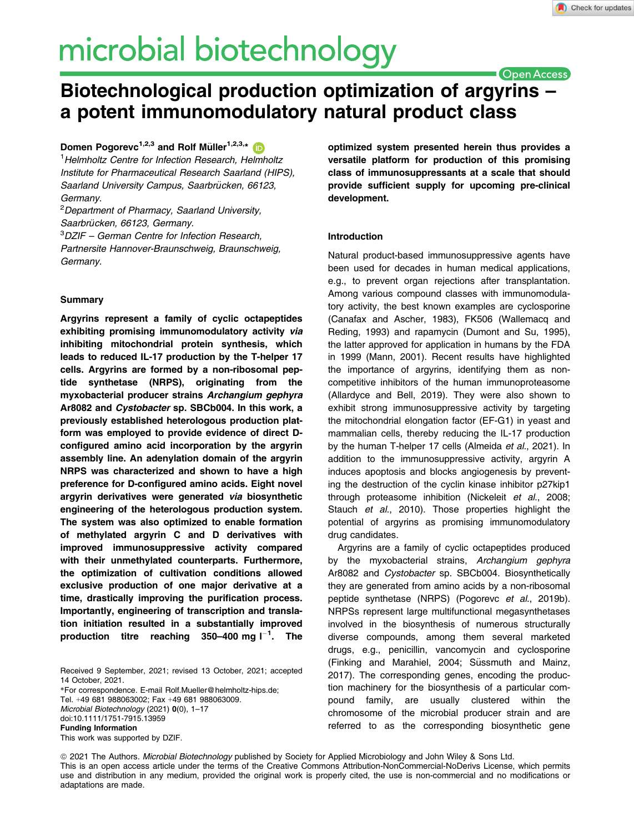# microbial biotechnology

**Open Access** 

# Biotechnological production optimization of argyrins – a potent immunomodulatory natural product class

Domen Pogorevc<sup>1,2,3</sup> and Rolf Müller<sup>1,2,3,[\\*](https://orcid.org/0000-0002-1042-5665)</sup>

<sup>1</sup> Helmholtz Centre for Infection Research, Helmholtz Institute for Pharmaceutical Research Saarland (HIPS), Saarland University Campus, Saarbrücken, 66123, Germany.

<sup>2</sup>Department of Pharmacy, Saarland University, Saarbrücken, 66123, Germany.

3 DZIF – German Centre for Infection Research,

Partnersite Hannover-Braunschweig, Braunschweig, Germany.

# **Summary**

Argyrins represent a family of cyclic octapeptides exhibiting promising immunomodulatory activity via inhibiting mitochondrial protein synthesis, which leads to reduced IL-17 production by the T-helper 17 cells. Argyrins are formed by a non-ribosomal peptide synthetase (NRPS), originating from the myxobacterial producer strains Archangium gephyra Ar8082 and Cystobacter sp. SBCb004. In this work, a previously established heterologous production platform was employed to provide evidence of direct Dconfigured amino acid incorporation by the argyrin assembly line. An adenylation domain of the argyrin NRPS was characterized and shown to have a high preference for D-configured amino acids. Eight novel argyrin derivatives were generated via biosynthetic engineering of the heterologous production system. The system was also optimized to enable formation of methylated argyrin C and D derivatives with improved immunosuppressive activity compared with their unmethylated counterparts. Furthermore, the optimization of cultivation conditions allowed exclusive production of one major derivative at a time, drastically improving the purification process. Importantly, engineering of transcription and translation initiation resulted in a substantially improved production titre reaching 350–400 mg l $^{-1}$ . The

Received 9 September, 2021; revised 13 October, 2021; accepted 14 October, 2021.

\*For correspondence. E-mail [Rolf.Mueller@helmholtz-hips.de](mailto:); Tel. +49 681 988063002; Fax +49 681 988063009. Microbial Biotechnology (2021) 0(0), 1–17 doi:10.1111/1751-7915.13959 Funding Information This work was supported by DZIF.

optimized system presented herein thus provides a versatile platform for production of this promising class of immunosuppressants at a scale that should provide sufficient supply for upcoming pre-clinical development.

# Introduction

Natural product-based immunosuppressive agents have been used for decades in human medical applications, e.g., to prevent organ rejections after transplantation. Among various compound classes with immunomodulatory activity, the best known examples are cyclosporine (Canafax and Ascher, 1983), FK506 (Wallemacq and Reding, 1993) and rapamycin (Dumont and Su, 1995), the latter approved for application in humans by the FDA in 1999 (Mann, 2001). Recent results have highlighted the importance of argyrins, identifying them as noncompetitive inhibitors of the human immunoproteasome (Allardyce and Bell, 2019). They were also shown to exhibit strong immunosuppressive activity by targeting the mitochondrial elongation factor (EF-G1) in yeast and mammalian cells, thereby reducing the IL-17 production by the human T-helper 17 cells (Almeida et al., 2021). In addition to the immunosuppressive activity, argyrin A induces apoptosis and blocks angiogenesis by preventing the destruction of the cyclin kinase inhibitor p27kip1 through proteasome inhibition (Nickeleit et al., 2008; Stauch et al., 2010). Those properties highlight the potential of argyrins as promising immunomodulatory drug candidates.

Argyrins are a family of cyclic octapeptides produced by the myxobacterial strains, Archangium gephyra Ar8082 and Cystobacter sp. SBCb004. Biosynthetically they are generated from amino acids by a non-ribosomal peptide synthetase (NRPS) (Pogorevc et al., 2019b). NRPSs represent large multifunctional megasynthetases involved in the biosynthesis of numerous structurally diverse compounds, among them several marketed drugs, e.g., penicillin, vancomycin and cyclosporine (Finking and Marahiel, 2004; Süssmuth and Mainz, 2017). The corresponding genes, encoding the production machinery for the biosynthesis of a particular compound family, are usually clustered within the chromosome of the microbial producer strain and are referred to as the corresponding biosynthetic gene

ª 2021 The Authors. Microbial Biotechnology published by Society for Applied Microbiology and John Wiley & Sons Ltd. This is an open access article under the terms of the [Creative Commons Attribution-NonCommercial-NoDerivs](http://creativecommons.org/licenses/by-nc-nd/4.0/) License, which permits use and distribution in any medium, provided the original work is properly cited, the use is non-commercial and no modifications or adaptations are made.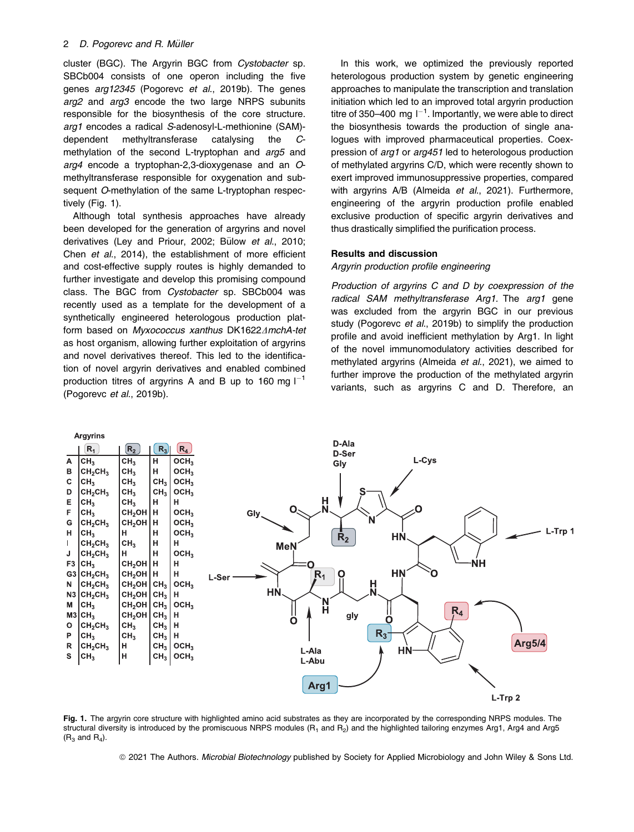cluster (BGC). The Argyrin BGC from Cystobacter sp. SBCb004 consists of one operon including the five genes arg12345 (Pogorevc et al., 2019b). The genes arg2 and arg3 encode the two large NRPS subunits responsible for the biosynthesis of the core structure. arg1 encodes a radical S-adenosyl-L-methionine (SAM) dependent methyltransferase catalysing the Cmethylation of the second L-tryptophan and *arg5* and arg4 encode a tryptophan-2,3-dioxygenase and an Omethyltransferase responsible for oxygenation and subsequent O-methylation of the same L-tryptophan respectively (Fig. 1).

Although total synthesis approaches have already been developed for the generation of argyrins and novel derivatives (Ley and Priour, 2002; Bülow et al., 2010; Chen et al., 2014), the establishment of more efficient and cost-effective supply routes is highly demanded to further investigate and develop this promising compound class. The BGC from Cystobacter sp. SBCb004 was recently used as a template for the development of a synthetically engineered heterologous production platform based on Myxococcus xanthus DK1622 $\Delta$ mchA-tet as host organism, allowing further exploitation of argyrins and novel derivatives thereof. This led to the identification of novel argyrin derivatives and enabled combined production titres of argyrins A and B up to 160 mg  $I^{-1}$ (Pogorevc et al., 2019b).

In this work, we optimized the previously reported heterologous production system by genetic engineering approaches to manipulate the transcription and translation initiation which led to an improved total argyrin production titre of 350–400 mg  $I^{-1}$ . Importantly, we were able to direct the biosynthesis towards the production of single analogues with improved pharmaceutical properties. Coexpression of arg1 or arg451 led to heterologous production of methylated argyrins C/D, which were recently shown to exert improved immunosuppressive properties, compared with argyrins A/B (Almeida et al., 2021). Furthermore, engineering of the argyrin production profile enabled exclusive production of specific argyrin derivatives and thus drastically simplified the purification process.

#### Results and discussion

# Argyrin production profile engineering

Production of argyrins C and D by coexpression of the radical SAM methyltransferase Arg1. The arg1 gene was excluded from the argyrin BGC in our previous study (Pogorevc et al., 2019b) to simplify the production profile and avoid inefficient methylation by Arg1. In light of the novel immunomodulatory activities described for methylated argyrins (Almeida et al., 2021), we aimed to further improve the production of the methylated argyrin variants, such as argyrins C and D. Therefore, an



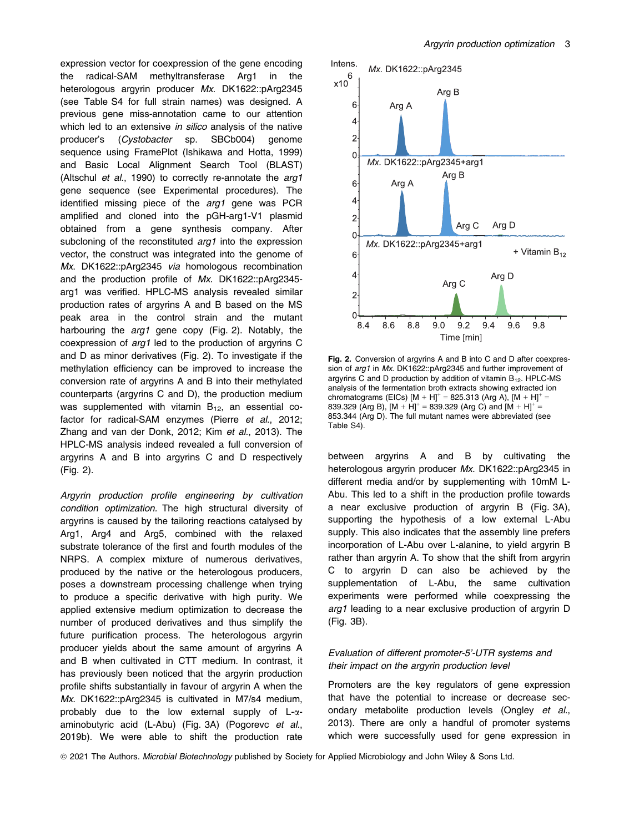expression vector for coexpression of the gene encoding the radical-SAM methyltransferase Arg1 in the heterologous argyrin producer Mx. DK1622::pArg2345 (see Table S4 for full strain names) was designed. A previous gene miss-annotation came to our attention which led to an extensive in silico analysis of the native producer's (Cystobacter sp. SBCb004) genome sequence using FramePlot (Ishikawa and Hotta, 1999) and Basic Local Alignment Search Tool (BLAST) (Altschul et al., 1990) to correctly re-annotate the arg1 gene sequence (see Experimental procedures). The identified missing piece of the arg1 gene was PCR amplified and cloned into the pGH-arg1-V1 plasmid obtained from a gene synthesis company. After subcloning of the reconstituted *arg1* into the expression vector, the construct was integrated into the genome of Mx. DK1622::pArg2345 via homologous recombination and the production profile of Mx. DK1622::pArg2345 arg1 was verified. HPLC-MS analysis revealed similar production rates of argyrins A and B based on the MS peak area in the control strain and the mutant harbouring the arg1 gene copy (Fig. 2). Notably, the coexpression of arg1 led to the production of argyrins C and D as minor derivatives (Fig. 2). To investigate if the methylation efficiency can be improved to increase the conversion rate of argyrins A and B into their methylated counterparts (argyrins C and D), the production medium was supplemented with vitamin  $B_{12}$ , an essential cofactor for radical-SAM enzymes (Pierre et al., 2012; Zhang and van der Donk, 2012; Kim et al., 2013). The HPLC-MS analysis indeed revealed a full conversion of argyrins A and B into argyrins C and D respectively (Fig. 2).

Argyrin production profile engineering by cultivation condition optimization. The high structural diversity of argyrins is caused by the tailoring reactions catalysed by Arg1, Arg4 and Arg5, combined with the relaxed substrate tolerance of the first and fourth modules of the NRPS. A complex mixture of numerous derivatives, produced by the native or the heterologous producers, poses a downstream processing challenge when trying to produce a specific derivative with high purity. We applied extensive medium optimization to decrease the number of produced derivatives and thus simplify the future purification process. The heterologous argyrin producer yields about the same amount of argyrins A and B when cultivated in CTT medium. In contrast, it has previously been noticed that the argyrin production profile shifts substantially in favour of argyrin A when the Mx. DK1622::pArg2345 is cultivated in M7/s4 medium, probably due to the low external supply of  $L-\alpha$ aminobutyric acid (L-Abu) (Fig. 3A) (Pogorevc et al., 2019b). We were able to shift the production rate



Fig. 2. Conversion of argyrins A and B into C and D after coexpression of arg1 in Mx. DK1622::pArg2345 and further improvement of argyrins C and D production by addition of vitamin  $B_{12}$ . HPLC-MS analysis of the fermentation broth extracts showing extracted ion chromatograms (EICs)  $[M + H]^{+} = 825.313$  (Arg A),  $[M + H]^{+} =$ 839.329 (Arg B),  $[M + H]^{+} = 839.329$  (Arg C) and  $[M + H]^{+} =$ 853.344 (Arg D). The full mutant names were abbreviated (see Table S4).

between argyrins A and B by cultivating the heterologous argyrin producer Mx. DK1622::pArg2345 in different media and/or by supplementing with 10mM L-Abu. This led to a shift in the production profile towards a near exclusive production of argyrin B (Fig. 3A), supporting the hypothesis of a low external L-Abu supply. This also indicates that the assembly line prefers incorporation of L-Abu over L-alanine, to yield argyrin B rather than argyrin A. To show that the shift from argyrin C to argyrin D can also be achieved by the supplementation of L-Abu, the same cultivation experiments were performed while coexpressing the arg1 leading to a near exclusive production of argyrin D (Fig. 3B).

# Evaluation of different promoter-5'-UTR systems and their impact on the argyrin production level

Promoters are the key regulators of gene expression that have the potential to increase or decrease secondary metabolite production levels (Ongley et al., 2013). There are only a handful of promoter systems which were successfully used for gene expression in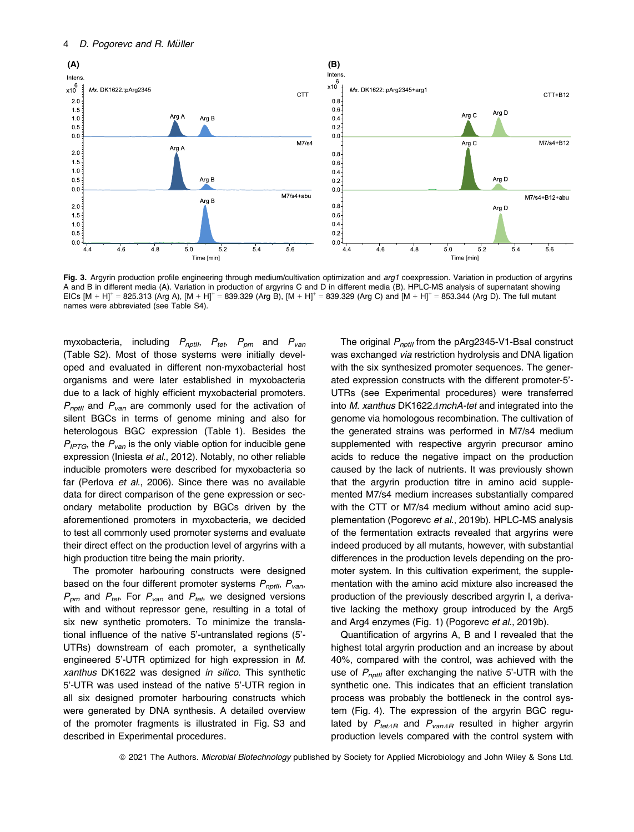

Fig. 3. Argyrin production profile engineering through medium/cultivation optimization and arg1 coexpression. Variation in production of argyrins A and B in different media (A). Variation in production of argyrins C and D in different media (B). HPLC-MS analysis of supernatant showing EICs  $[M + H]^{+} = 825.313$  (Arg A),  $[M + H]^{+} = 839.329$  (Arg B),  $[M + H]^{+} = 839.329$  (Arg C) and  $[M + H]^{+} = 853.344$  (Arg D). The full mutant names were abbreviated (see Table S4).

myxobacteria, including  $P_{npt1}$ ,  $P_{tet}$ ,  $P_{pm}$  and  $P_{van}$ (Table S2). Most of those systems were initially developed and evaluated in different non-myxobacterial host organisms and were later established in myxobacteria due to a lack of highly efficient myxobacterial promoters.  $P_{\text{notII}}$  and  $P_{\text{van}}$  are commonly used for the activation of silent BGCs in terms of genome mining and also for heterologous BGC expression (Table 1). Besides the  $P_{IPTG}$ , the  $P_{van}$  is the only viable option for inducible gene expression (Iniesta et al., 2012). Notably, no other reliable inducible promoters were described for myxobacteria so far (Perlova et al., 2006). Since there was no available data for direct comparison of the gene expression or secondary metabolite production by BGCs driven by the aforementioned promoters in myxobacteria, we decided to test all commonly used promoter systems and evaluate their direct effect on the production level of argyrins with a high production titre being the main priority.

The promoter harbouring constructs were designed based on the four different promoter systems  $P_{\text{notll}}$ ,  $P_{\text{van}}$ ,  $P_{pm}$  and  $P_{tot}$ . For  $P_{van}$  and  $P_{tot}$ , we designed versions with and without repressor gene, resulting in a total of six new synthetic promoters. To minimize the translational influence of the native 5'-untranslated regions (5'- UTRs) downstream of each promoter, a synthetically engineered 5'-UTR optimized for high expression in M. xanthus DK1622 was designed in silico. This synthetic 5'-UTR was used instead of the native 5'-UTR region in all six designed promoter harbouring constructs which were generated by DNA synthesis. A detailed overview of the promoter fragments is illustrated in Fig. S3 and described in Experimental procedures.

The original  $P_{notII}$  from the pArg2345-V1-BsaI construct was exchanged via restriction hydrolysis and DNA ligation with the six synthesized promoter sequences. The generated expression constructs with the different promoter-5'- UTRs (see Experimental procedures) were transferred into M. xanthus DK1622 $\triangle$ mchA-tet and integrated into the genome via homologous recombination. The cultivation of the generated strains was performed in M7/s4 medium supplemented with respective argyrin precursor amino acids to reduce the negative impact on the production caused by the lack of nutrients. It was previously shown that the argyrin production titre in amino acid supplemented M7/s4 medium increases substantially compared with the CTT or M7/s4 medium without amino acid supplementation (Pogorevc et al., 2019b). HPLC-MS analysis of the fermentation extracts revealed that argyrins were indeed produced by all mutants, however, with substantial differences in the production levels depending on the promoter system. In this cultivation experiment, the supplementation with the amino acid mixture also increased the production of the previously described argyrin I, a derivative lacking the methoxy group introduced by the Arg5 and Arg4 enzymes (Fig. 1) (Pogorevc et al., 2019b).

Quantification of argyrins A, B and I revealed that the highest total argyrin production and an increase by about 40%, compared with the control, was achieved with the use of  $P_{\text{notill}}$  after exchanging the native 5'-UTR with the synthetic one. This indicates that an efficient translation process was probably the bottleneck in the control system (Fig. 4). The expression of the argyrin BGC regulated by  $P_{tet\Delta R}$  and  $P_{van\Delta R}$  resulted in higher argyrin production levels compared with the control system with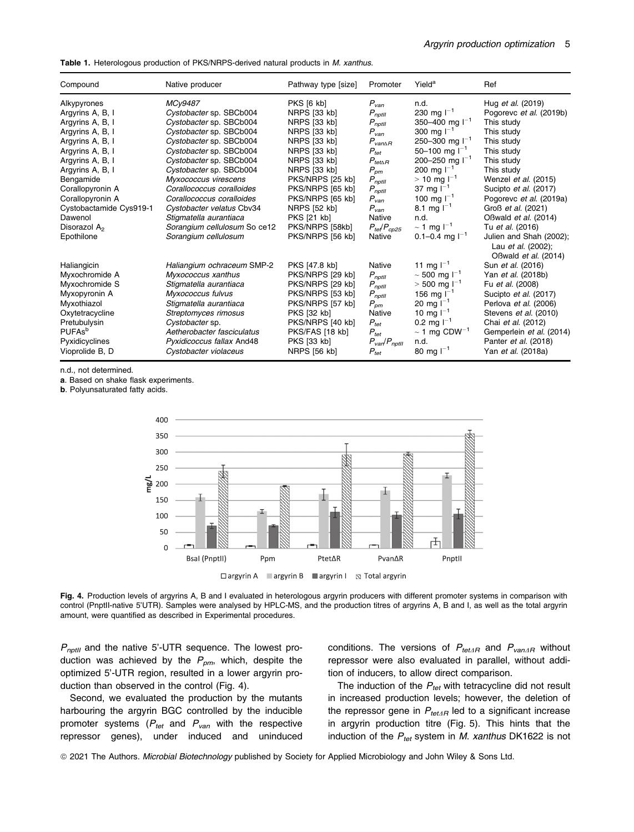Table 1. Heterologous production of PKS/NRPS-derived natural products in M. xanthus.

| Compound                  | Native producer              | Pathway type [size] | Promoter                           | Yield <sup>a</sup>                   | Ref                                                                   |
|---------------------------|------------------------------|---------------------|------------------------------------|--------------------------------------|-----------------------------------------------------------------------|
| Alkypyrones               | MCv9487                      | <b>PKS [6 kb]</b>   | $P_{van}$                          | n.d.                                 | Hug et al. (2019)                                                     |
| Argyrins A, B, I          | Cystobacter sp. SBCb004      | NRPS [33 kb]        | $P_{\textit{nptll}}$               | 230 mg $I^{-1}$                      | Pogorevc et al. (2019b)                                               |
| Argyrins A, B, I          | Cystobacter sp. SBCb004      | NRPS [33 kb]        | $P_{notll}$                        | 350-400 mg $I^{-1}$                  | This study                                                            |
| Argyrins A, B, I          | Cystobacter sp. SBCb004      | NRPS [33 kb]        | $P_{van}$                          | 300 mg $I^{-1}$                      | This study                                                            |
| Argyrins A, B, I          | Cystobacter sp. SBCb004      | NRPS [33 kb]        | $P_{van\Delta R}$                  | 250-300 mg $I^{-1}$                  | This study                                                            |
| Argyrins A, B, I          | Cystobacter sp. SBCb004      | NRPS [33 kb]        | $P_{tet}$                          | 50-100 mg $I^{-1}$                   | This study                                                            |
| Argyrins A, B, I          | Cystobacter sp. SBCb004      | NRPS [33 kb]        | $P_{tet\Delta R}$                  | 200-250 mg $I^{-1}$                  | This study                                                            |
| Argyrins A, B, I          | Cystobacter sp. SBCb004      | NRPS [33 kb]        | $P_{\rho m}$                       | 200 mg $I^{-1}$                      | This study                                                            |
| Bengamide                 | Myxococcus virescens         | PKS/NRPS [25 kb]    | $P_{\eta p tII}$                   | $> 10 \; \text{mg} \; \text{m}^{-1}$ | Wenzel et al. (2015)                                                  |
| Corallopyronin A          | Corallococcus coralloides    | PKS/NRPS [65 kb]    | $P_{\textit{notll}}$               | 37 mg $I^{-1}$                       | Sucipto et al. (2017)                                                 |
| Corallopyronin A          | Corallococcus coralloides    | PKS/NRPS [65 kb]    | $P_{van}$                          | 100 mg $I^{-1}$                      | Pogorevc et al. (2019a)                                               |
| Cystobactamide Cys919-1   | Cystobacter velatus Cbv34    | NRPS [52 kb]        | $P_{van}$                          | 8.1 mg $I^{-1}$                      | Groß et al. (2021)                                                    |
| Dawenol                   | Stigmatella aurantiaca       | <b>PKS [21 kb]</b>  | Native                             | n.d.                                 | OBwald et al. (2014)                                                  |
| Disorazol A <sub>2</sub>  | Sorangium cellulosum So ce12 | PKS/NRPS [58kb]     | $P_{te}/P_{co25}$                  | $\sim$ 1 mg l <sup>-1</sup>          | Tu et al. (2016)                                                      |
| Epothilone                | Sorangium cellulosum         | PKS/NRPS [56 kb]    | Native                             | 0.1–0.4 mg $I^{-1}$                  | Julien and Shah (2002);<br>Lau et al. (2002);<br>OBwald et al. (2014) |
| Haliangicin               | Haliangium ochraceum SMP-2   | PKS [47.8 kb]       | Native                             | 11 mg $I^{-1}$                       | Sun et al. (2016)                                                     |
| Myxochromide A            | Myxococcus xanthus           | PKS/NRPS [29 kb]    | $P_{\textit{nptll}}$               | $\sim$ 500 mg l <sup>-1</sup>        | Yan et al. (2018b)                                                    |
| Myxochromide S            | Stigmatella aurantiaca       | PKS/NRPS [29 kb]    | $P_{\eta p tII}$                   | $>$ 500 mg l <sup>-1</sup>           | Fu et al. (2008)                                                      |
| Myxopyronin A             | Myxococcus fulvus            | PKS/NRPS [53 kb]    | $P_{\eta p tII}$                   | 156 mg $I^{-1}$                      | Sucipto et al. (2017)                                                 |
| Myxothiazol               | Stigmatella aurantiaca       | PKS/NRPS [57 kb]    | $P_{\:\!om}$                       | 20 mg $I^{-1}$                       | Perlova et al. (2006)                                                 |
| Oxytetracycline           | Streptomyces rimosus         | <b>PKS [32 kb]</b>  | Native                             | 10 mg $I^{-1}$                       | Stevens et al. (2010)                                                 |
| Pretubulysin              | Cystobacter sp.              | PKS/NRPS [40 kb]    | $P_{tet}$                          | 0.2 mg $I^{-1}$                      | Chai et al. (2012)                                                    |
| <b>PUFAs</b> <sup>b</sup> | Aetherobacter fasciculatus   | PKS/FAS [18 kb]     | $P_{\text{tet}}$                   | $\sim$ 1 mg CDW <sup>-1</sup>        | Gemperlein et al. (2014)                                              |
| Pyxidicyclines            | Pyxidicoccus fallax And48    | PKS [33 kb]         | $P_{\text{van}}/P_{\text{notill}}$ | n.d.                                 | Panter et al. (2018)                                                  |
| Vioprolide B, D           | Cystobacter violaceus        | NRPS [56 kb]        | $P_{\text{tet}}$                   | 80 mg $I^{-1}$                       | Yan et al. (2018a)                                                    |

n.d., not determined.

a. Based on shake flask experiments.

b. Polyunsaturated fatty acids.



Fig. 4. Production levels of argyrins A, B and I evaluated in heterologous argyrin producers with different promoter systems in comparison with control (PnptII-native 5'UTR). Samples were analysed by HPLC-MS, and the production titres of argyrins A, B and I, as well as the total argyrin amount, were quantified as described in Experimental procedures.

 $P_{\text{nptII}}$  and the native 5'-UTR sequence. The lowest production was achieved by the  $P_{pm}$ , which, despite the optimized 5'-UTR region, resulted in a lower argyrin production than observed in the control (Fig. 4).

Second, we evaluated the production by the mutants harbouring the argyrin BGC controlled by the inducible promoter systems ( $P_{tet}$  and  $P_{van}$  with the respective repressor genes), under induced and uninduced conditions. The versions of  $P_{tet\Delta R}$  and  $P_{van\Delta R}$  without repressor were also evaluated in parallel, without addition of inducers, to allow direct comparison.

The induction of the  $P_{tot}$  with tetracycline did not result in increased production levels; however, the deletion of the repressor gene in  $P_{tetAB}$  led to a significant increase in argyrin production titre (Fig. 5). This hints that the induction of the  $P_{tot}$  system in *M. xanthus* DK1622 is not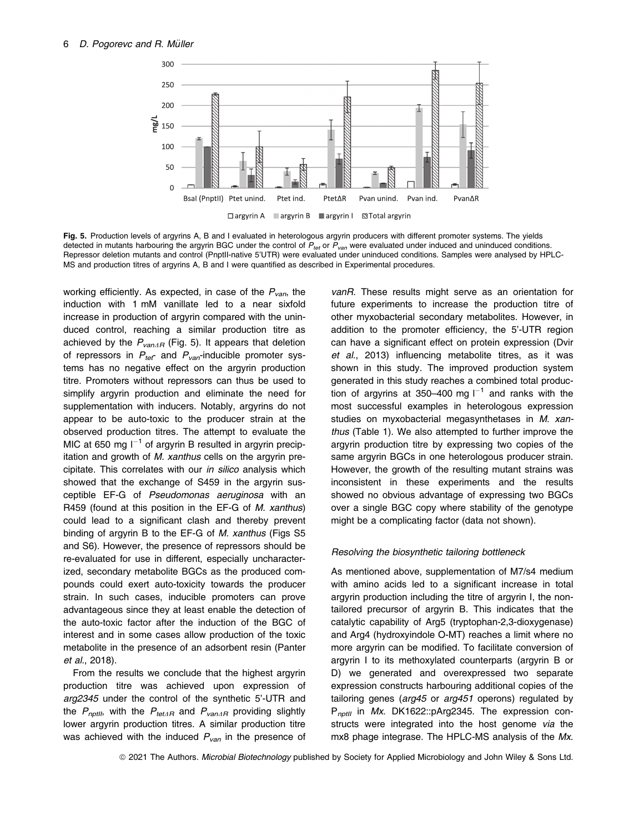

Fig. 5. Production levels of argyrins A, B and I evaluated in heterologous argyrin producers with different promoter systems. The yields detected in mutants harbouring the argyrin BGC under the control of  $P_{\text{ter}}$  or  $P_{\text{van}}$  were evaluated under induced and uninduced conditions. Repressor deletion mutants and control (PnptII-native 5'UTR) were evaluated under uninduced conditions. Samples were analysed by HPLC-MS and production titres of argyrins A, B and I were quantified as described in Experimental procedures.

working efficiently. As expected, in case of the  $P_{van}$ , the induction with 1 mM vanillate led to a near sixfold increase in production of argyrin compared with the uninduced control, reaching a similar production titre as achieved by the  $P_{\text{vanAB}}$  (Fig. 5). It appears that deletion of repressors in  $P_{\text{tef}}$  and  $P_{\text{van}}$ -inducible promoter systems has no negative effect on the argyrin production titre. Promoters without repressors can thus be used to simplify argyrin production and eliminate the need for supplementation with inducers. Notably, argyrins do not appear to be auto-toxic to the producer strain at the observed production titres. The attempt to evaluate the MIC at 650 mg  $I^{-1}$  of argyrin B resulted in argyrin precipitation and growth of M. xanthus cells on the argyrin precipitate. This correlates with our in silico analysis which showed that the exchange of S459 in the argyrin susceptible EF-G of Pseudomonas aeruginosa with an R459 (found at this position in the EF-G of M. xanthus) could lead to a significant clash and thereby prevent binding of argyrin B to the EF-G of M. xanthus (Figs S5 and S6). However, the presence of repressors should be re-evaluated for use in different, especially uncharacterized, secondary metabolite BGCs as the produced compounds could exert auto-toxicity towards the producer strain. In such cases, inducible promoters can prove advantageous since they at least enable the detection of the auto-toxic factor after the induction of the BGC of interest and in some cases allow production of the toxic metabolite in the presence of an adsorbent resin (Panter et al., 2018).

From the results we conclude that the highest argyrin production titre was achieved upon expression of arg2345 under the control of the synthetic 5'-UTR and the  $P_{\text{nothing}}$ , with the  $P_{\text{tetAB}}$  and  $P_{\text{vanAB}}$  providing slightly lower argyrin production titres. A similar production titre was achieved with the induced  $P_{van}$  in the presence of vanR. These results might serve as an orientation for future experiments to increase the production titre of other myxobacterial secondary metabolites. However, in addition to the promoter efficiency, the 5'-UTR region can have a significant effect on protein expression (Dvir et al., 2013) influencing metabolite titres, as it was shown in this study. The improved production system generated in this study reaches a combined total production of argyrins at 350–400 mg  $I^{-1}$  and ranks with the most successful examples in heterologous expression studies on myxobacterial megasynthetases in M. xanthus (Table 1). We also attempted to further improve the argyrin production titre by expressing two copies of the same argyrin BGCs in one heterologous producer strain. However, the growth of the resulting mutant strains was inconsistent in these experiments and the results showed no obvious advantage of expressing two BGCs over a single BGC copy where stability of the genotype might be a complicating factor (data not shown).

# Resolving the biosynthetic tailoring bottleneck

As mentioned above, supplementation of M7/s4 medium with amino acids led to a significant increase in total argyrin production including the titre of argyrin I, the nontailored precursor of argyrin B. This indicates that the catalytic capability of Arg5 (tryptophan-2,3-dioxygenase) and Arg4 (hydroxyindole O-MT) reaches a limit where no more argyrin can be modified. To facilitate conversion of argyrin I to its methoxylated counterparts (argyrin B or D) we generated and overexpressed two separate expression constructs harbouring additional copies of the tailoring genes (arg45 or arg451 operons) regulated by  $P_{notII}$  in Mx. DK1622::pArg2345. The expression constructs were integrated into the host genome via the mx8 phage integrase. The HPLC-MS analysis of the Mx.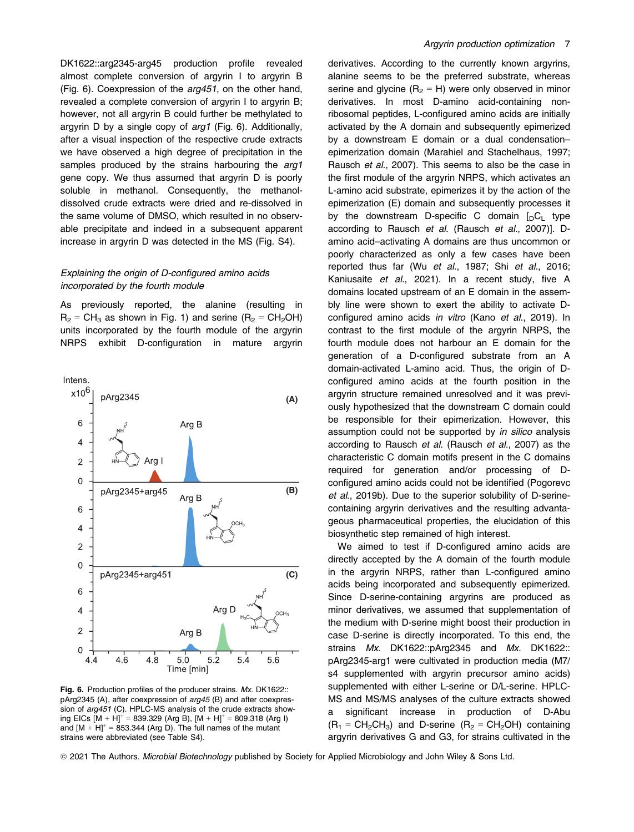DK1622::arg2345-arg45 production profile revealed almost complete conversion of argyrin I to argyrin B (Fig. 6). Coexpression of the arg451, on the other hand, revealed a complete conversion of argyrin I to argyrin B; however, not all argyrin B could further be methylated to argyrin D by a single copy of arg1 (Fig. 6). Additionally, after a visual inspection of the respective crude extracts we have observed a high degree of precipitation in the samples produced by the strains harbouring the arg1 gene copy. We thus assumed that argyrin D is poorly soluble in methanol. Consequently, the methanoldissolved crude extracts were dried and re-dissolved in the same volume of DMSO, which resulted in no observable precipitate and indeed in a subsequent apparent increase in argyrin D was detected in the MS (Fig. S4).

# Explaining the origin of D-configured amino acids incorporated by the fourth module

As previously reported, the alanine (resulting in  $R_2 = CH_3$  as shown in Fig. 1) and serine ( $R_2 = CH_2OH$ ) units incorporated by the fourth module of the argyrin NRPS exhibit D-configuration in mature argyrin



Fig. 6. Production profiles of the producer strains. Mx. DK1622:: pArg2345 (A), after coexpression of arg45 (B) and after coexpression of arg451 (C). HPLC-MS analysis of the crude extracts showing EICs  $[M + H]^{+} = 839.329$  (Arg B),  $[M + H]^{+} = 809.318$  (Arg I) and  $[M + H]^{+} = 853.344$  (Arg D). The full names of the mutant strains were abbreviated (see Table S4).

derivatives. According to the currently known argyrins, alanine seems to be the preferred substrate, whereas serine and glycine ( $R_2 = H$ ) were only observed in minor derivatives. In most D-amino acid-containing nonribosomal peptides, L-configured amino acids are initially activated by the A domain and subsequently epimerized by a downstream E domain or a dual condensation– epimerization domain (Marahiel and Stachelhaus, 1997; Rausch et al., 2007). This seems to also be the case in the first module of the argyrin NRPS, which activates an L-amino acid substrate, epimerizes it by the action of the epimerization (E) domain and subsequently processes it by the downstream D-specific C domain  $[<sub>D</sub>C<sub>L</sub>]$  type according to Rausch et al. (Rausch et al., 2007)]. Damino acid–activating A domains are thus uncommon or poorly characterized as only a few cases have been reported thus far (Wu et al., 1987; Shi et al., 2016; Kaniusaite et al., 2021). In a recent study, five A domains located upstream of an E domain in the assembly line were shown to exert the ability to activate Dconfigured amino acids in vitro (Kano et al., 2019). In contrast to the first module of the argyrin NRPS, the fourth module does not harbour an E domain for the generation of a D-configured substrate from an A domain-activated L-amino acid. Thus, the origin of Dconfigured amino acids at the fourth position in the argyrin structure remained unresolved and it was previously hypothesized that the downstream C domain could be responsible for their epimerization. However, this assumption could not be supported by in silico analysis according to Rausch et al. (Rausch et al., 2007) as the characteristic C domain motifs present in the C domains required for generation and/or processing of Dconfigured amino acids could not be identified (Pogorevc et al., 2019b). Due to the superior solubility of D-serinecontaining argyrin derivatives and the resulting advantageous pharmaceutical properties, the elucidation of this biosynthetic step remained of high interest.

We aimed to test if D-configured amino acids are directly accepted by the A domain of the fourth module in the argyrin NRPS, rather than L-configured amino acids being incorporated and subsequently epimerized. Since D-serine-containing argyrins are produced as minor derivatives, we assumed that supplementation of the medium with D-serine might boost their production in case D-serine is directly incorporated. To this end, the strains Mx. DK1622::pArg2345 and Mx. DK1622:: pArg2345-arg1 were cultivated in production media (M7/ s4 supplemented with argyrin precursor amino acids) supplemented with either L-serine or D/L-serine. HPLC-MS and MS/MS analyses of the culture extracts showed a significant increase in production of D-Abu  $(R_1 = CH_2CH_3)$  and D-serine  $(R_2 = CH_2OH)$  containing argyrin derivatives G and G3, for strains cultivated in the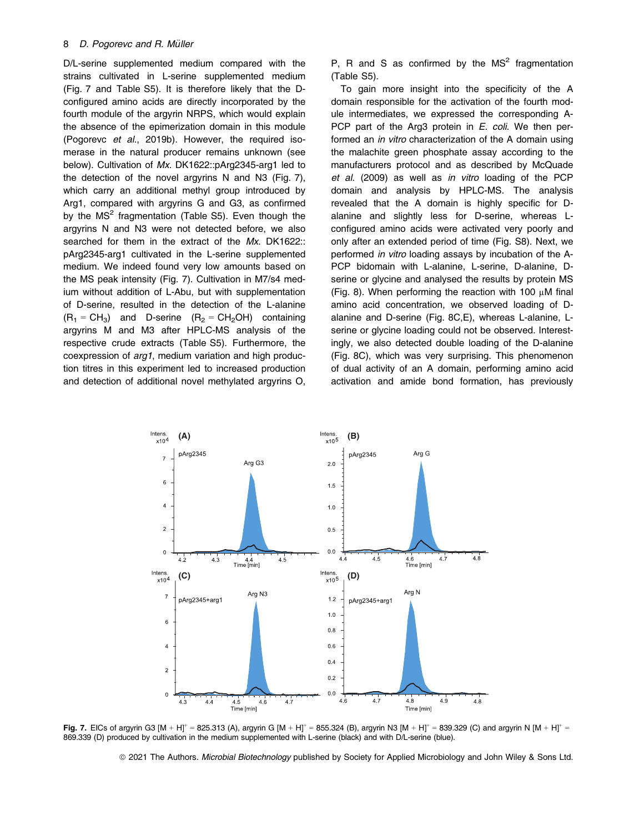D/L-serine supplemented medium compared with the strains cultivated in L-serine supplemented medium (Fig. 7 and Table S5). It is therefore likely that the Dconfigured amino acids are directly incorporated by the fourth module of the argyrin NRPS, which would explain the absence of the epimerization domain in this module (Pogorevc et al., 2019b). However, the required isomerase in the natural producer remains unknown (see below). Cultivation of Mx. DK1622::pArg2345-arg1 led to the detection of the novel argyrins N and N3 (Fig. 7), which carry an additional methyl group introduced by Arg1, compared with argyrins G and G3, as confirmed by the  $MS<sup>2</sup>$  fragmentation (Table S5). Even though the argyrins N and N3 were not detected before, we also searched for them in the extract of the Mx. DK1622:: pArg2345-arg1 cultivated in the L-serine supplemented medium. We indeed found very low amounts based on the MS peak intensity (Fig. 7). Cultivation in M7/s4 medium without addition of L-Abu, but with supplementation of D-serine, resulted in the detection of the L-alanine  $(R_1 = CH_3)$  and D-serine  $(R_2 = CH_2OH)$  containing argyrins M and M3 after HPLC-MS analysis of the respective crude extracts (Table S5). Furthermore, the coexpression of arg1, medium variation and high production titres in this experiment led to increased production and detection of additional novel methylated argyrins O, P, R and S as confirmed by the  $MS<sup>2</sup>$  fragmentation (Table S5).

To gain more insight into the specificity of the A domain responsible for the activation of the fourth module intermediates, we expressed the corresponding A-PCP part of the Arg3 protein in E. coli. We then performed an *in vitro* characterization of the A domain using the malachite green phosphate assay according to the manufacturers protocol and as described by McQuade et al. (2009) as well as in vitro loading of the PCP domain and analysis by HPLC-MS. The analysis revealed that the A domain is highly specific for Dalanine and slightly less for D-serine, whereas Lconfigured amino acids were activated very poorly and only after an extended period of time (Fig. S8). Next, we performed in vitro loading assays by incubation of the A-PCP bidomain with L-alanine, L-serine, D-alanine, Dserine or glycine and analysed the results by protein MS (Fig. 8). When performing the reaction with 100  $\mu$ M final amino acid concentration, we observed loading of Dalanine and D-serine (Fig. 8C,E), whereas L-alanine, Lserine or glycine loading could not be observed. Interestingly, we also detected double loading of the D-alanine (Fig. 8C), which was very surprising. This phenomenon of dual activity of an A domain, performing amino acid activation and amide bond formation, has previously



Fig. 7. EICs of argyrin G3 [M + H]<sup>+</sup> = 825.313 (A), argyrin G [M + H]<sup>+</sup> = 855.324 (B), argyrin N3 [M + H]<sup>+</sup> = 839.329 (C) and argyrin N [M + H]<sup>+</sup> = 869.339 (D) produced by cultivation in the medium supplemented with L-serine (black) and with D/L-serine (blue).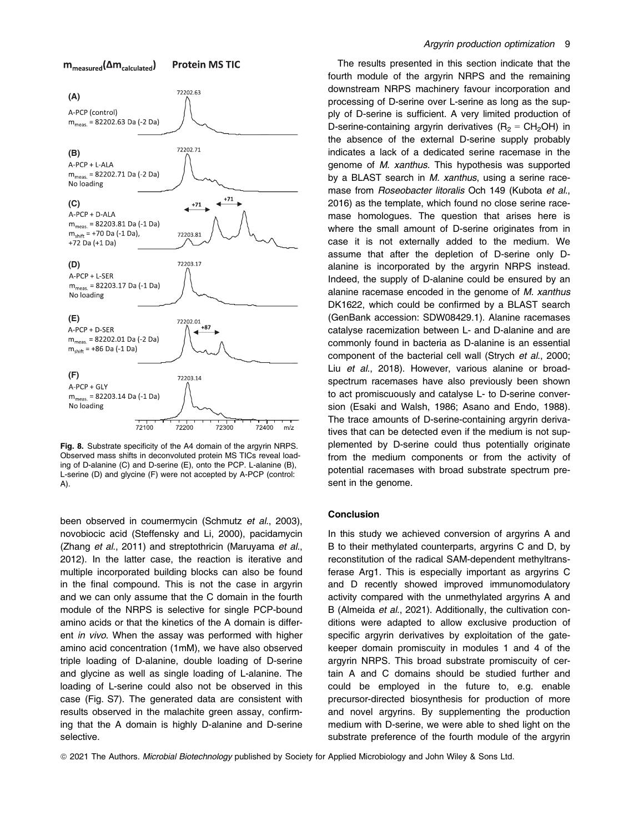

Fig. 8. Substrate specificity of the A4 domain of the argyrin NRPS. Observed mass shifts in deconvoluted protein MS TICs reveal loading of D-alanine (C) and D-serine (E), onto the PCP. L-alanine (B), L-serine (D) and glycine (F) were not accepted by A-PCP (control: A).

been observed in coumermycin (Schmutz et al., 2003), novobiocic acid (Steffensky and Li, 2000), pacidamycin (Zhang et al., 2011) and streptothricin (Maruyama et al., 2012). In the latter case, the reaction is iterative and multiple incorporated building blocks can also be found in the final compound. This is not the case in argyrin and we can only assume that the C domain in the fourth module of the NRPS is selective for single PCP-bound amino acids or that the kinetics of the A domain is different in vivo. When the assay was performed with higher amino acid concentration (1mM), we have also observed triple loading of D-alanine, double loading of D-serine and glycine as well as single loading of L-alanine. The loading of L-serine could also not be observed in this case (Fig. S7). The generated data are consistent with results observed in the malachite green assay, confirming that the A domain is highly D-alanine and D-serine selective.

The results presented in this section indicate that the fourth module of the argyrin NRPS and the remaining downstream NRPS machinery favour incorporation and processing of D-serine over L-serine as long as the supply of D-serine is sufficient. A very limited production of D-serine-containing argyrin derivatives ( $R<sub>2</sub> = CH<sub>2</sub>OH$ ) in the absence of the external D-serine supply probably indicates a lack of a dedicated serine racemase in the genome of M. xanthus. This hypothesis was supported by a BLAST search in M. xanthus, using a serine racemase from *Roseobacter litoralis* Och 149 (Kubota et al., 2016) as the template, which found no close serine racemase homologues. The question that arises here is where the small amount of D-serine originates from in case it is not externally added to the medium. We assume that after the depletion of D-serine only Dalanine is incorporated by the argyrin NRPS instead. Indeed, the supply of D-alanine could be ensured by an alanine racemase encoded in the genome of M. xanthus DK1622, which could be confirmed by a BLAST search (GenBank accession: SDW08429.1). Alanine racemases catalyse racemization between L- and D-alanine and are commonly found in bacteria as D-alanine is an essential component of the bacterial cell wall (Strych et al., 2000; Liu et al., 2018). However, various alanine or broadspectrum racemases have also previously been shown to act promiscuously and catalyse L- to D-serine conversion (Esaki and Walsh, 1986; Asano and Endo, 1988). The trace amounts of D-serine-containing argyrin derivatives that can be detected even if the medium is not supplemented by D-serine could thus potentially originate from the medium components or from the activity of potential racemases with broad substrate spectrum present in the genome.

#### Conclusion

In this study we achieved conversion of argyrins A and B to their methylated counterparts, argyrins C and D, by reconstitution of the radical SAM-dependent methyltransferase Arg1. This is especially important as argyrins C and D recently showed improved immunomodulatory activity compared with the unmethylated argyrins A and B (Almeida et al., 2021). Additionally, the cultivation conditions were adapted to allow exclusive production of specific argyrin derivatives by exploitation of the gatekeeper domain promiscuity in modules 1 and 4 of the argyrin NRPS. This broad substrate promiscuity of certain A and C domains should be studied further and could be employed in the future to, e.g. enable precursor-directed biosynthesis for production of more and novel argyrins. By supplementing the production medium with D-serine, we were able to shed light on the substrate preference of the fourth module of the argyrin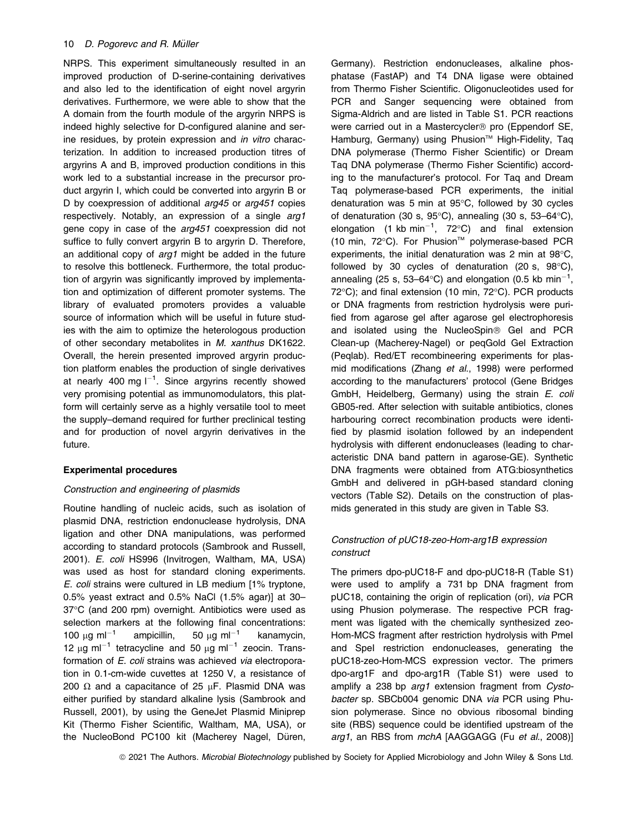NRPS. This experiment simultaneously resulted in an improved production of D-serine-containing derivatives and also led to the identification of eight novel argyrin derivatives. Furthermore, we were able to show that the A domain from the fourth module of the argyrin NRPS is indeed highly selective for D-configured alanine and serine residues, by protein expression and in vitro characterization. In addition to increased production titres of argyrins A and B, improved production conditions in this work led to a substantial increase in the precursor product argyrin I, which could be converted into argyrin B or D by coexpression of additional arg45 or arg451 copies respectively. Notably, an expression of a single arg1 gene copy in case of the arg451 coexpression did not suffice to fully convert argyrin B to argyrin D. Therefore, an additional copy of arg1 might be added in the future to resolve this bottleneck. Furthermore, the total production of argyrin was significantly improved by implementation and optimization of different promoter systems. The library of evaluated promoters provides a valuable source of information which will be useful in future studies with the aim to optimize the heterologous production of other secondary metabolites in M. xanthus DK1622. Overall, the herein presented improved argyrin production platform enables the production of single derivatives at nearly 400 mg  $I^{-1}$ . Since argyrins recently showed very promising potential as immunomodulators, this platform will certainly serve as a highly versatile tool to meet the supply–demand required for further preclinical testing and for production of novel argyrin derivatives in the future.

# Experimental procedures

# Construction and engineering of plasmids

Routine handling of nucleic acids, such as isolation of plasmid DNA, restriction endonuclease hydrolysis, DNA ligation and other DNA manipulations, was performed according to standard protocols (Sambrook and Russell, 2001). E. coli HS996 (Invitrogen, Waltham, MA, USA) was used as host for standard cloning experiments. E. coli strains were cultured in LB medium [1% tryptone, 0.5% yeast extract and 0.5% NaCl (1.5% agar)] at 30– 37°C (and 200 rpm) overnight. Antibiotics were used as selection markers at the following final concentrations: 100  $\mu$ g ml<sup>-1</sup> ampicillin, 50  $\mu$ g ml<sup>-1</sup> kanamycin, 12  $\mu$ g ml<sup>-1</sup> tetracycline and 50  $\mu$ g ml<sup>-1</sup> zeocin. Transformation of E. coli strains was achieved via electroporation in 0.1-cm-wide cuvettes at 1250 V, a resistance of 200 Ω and a capacitance of 25  $\mu$ F. Plasmid DNA was either purified by standard alkaline lysis (Sambrook and Russell, 2001), by using the GeneJet Plasmid Miniprep Kit (Thermo Fisher Scientific, Waltham, MA, USA), or the NucleoBond PC100 kit (Macherey Nagel, Düren, Germany). Restriction endonucleases, alkaline phosphatase (FastAP) and T4 DNA ligase were obtained from Thermo Fisher Scientific. Oligonucleotides used for PCR and Sanger sequencing were obtained from Sigma-Aldrich and are listed in Table S1. PCR reactions were carried out in a Mastercycler<sup>®</sup> pro (Eppendorf SE, Hamburg, Germany) using Phusion<sup>™</sup> High-Fidelity, Taq DNA polymerase (Thermo Fisher Scientific) or Dream Taq DNA polymerase (Thermo Fisher Scientific) according to the manufacturer's protocol. For Taq and Dream Taq polymerase-based PCR experiments, the initial denaturation was 5 min at 95°C, followed by 30 cycles of denaturation (30 s, 95°C), annealing (30 s, 53–64°C), elongation (1 kb min<sup>-1</sup>, 72 $^{\circ}$ C) and final extension (10 min,  $72^{\circ}$ C). For Phusion<sup>™</sup> polymerase-based PCR experiments, the initial denaturation was 2 min at 98°C, followed by 30 cycles of denaturation (20 s, 98°C), annealing (25 s, 53–64°C) and elongation (0.5 kb min<sup>-1</sup>, 72°C); and final extension (10 min, 72°C). PCR products or DNA fragments from restriction hydrolysis were purified from agarose gel after agarose gel electrophoresis and isolated using the NucleoSpin® Gel and PCR Clean-up (Macherey-Nagel) or peqGold Gel Extraction (Peqlab). Red/ET recombineering experiments for plasmid modifications (Zhang et al., 1998) were performed according to the manufacturers' protocol (Gene Bridges GmbH, Heidelberg, Germany) using the strain E. coli GB05-red. After selection with suitable antibiotics, clones harbouring correct recombination products were identified by plasmid isolation followed by an independent hydrolysis with different endonucleases (leading to characteristic DNA band pattern in agarose-GE). Synthetic DNA fragments were obtained from ATG:biosynthetics GmbH and delivered in pGH-based standard cloning vectors (Table S2). Details on the construction of plasmids generated in this study are given in Table S3.

# Construction of pUC18-zeo-Hom-arg1B expression construct

The primers dpo-pUC18-F and dpo-pUC18-R (Table S1) were used to amplify a 731 bp DNA fragment from pUC18, containing the origin of replication (ori), via PCR using Phusion polymerase. The respective PCR fragment was ligated with the chemically synthesized zeo-Hom-MCS fragment after restriction hydrolysis with PmeI and SpeI restriction endonucleases, generating the pUC18-zeo-Hom-MCS expression vector. The primers dpo-arg1F and dpo-arg1R (Table S1) were used to amplify a 238 bp arg1 extension fragment from Cystobacter sp. SBCb004 genomic DNA via PCR using Phusion polymerase. Since no obvious ribosomal binding site (RBS) sequence could be identified upstream of the arg1, an RBS from mchA [AAGGAGG (Fu et al., 2008)]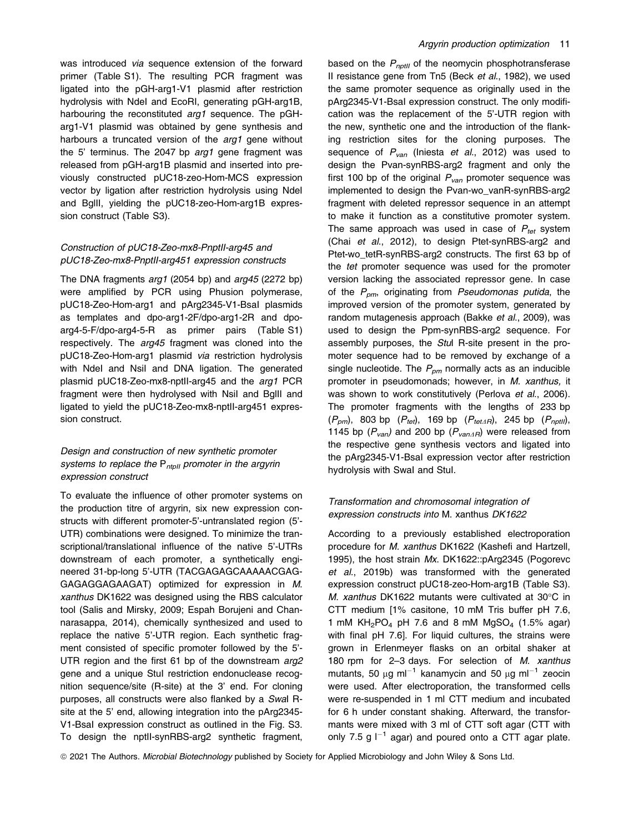was introduced via sequence extension of the forward primer (Table S1). The resulting PCR fragment was ligated into the pGH-arg1-V1 plasmid after restriction hydrolysis with NdeI and EcoRI, generating pGH-arg1B, harbouring the reconstituted arg1 sequence. The pGHarg1-V1 plasmid was obtained by gene synthesis and harbours a truncated version of the arg1 gene without the 5' terminus. The 2047 bp arg1 gene fragment was released from pGH-arg1B plasmid and inserted into previously constructed pUC18-zeo-Hom-MCS expression vector by ligation after restriction hydrolysis using NdeI and BglII, yielding the pUC18-zeo-Hom-arg1B expression construct (Table S3).

# Construction of pUC18-Zeo-mx8-PnptII-arg45 and pUC18-Zeo-mx8-PnptII-arg451 expression constructs

The DNA fragments arg1 (2054 bp) and arg45 (2272 bp) were amplified by PCR using Phusion polymerase, pUC18-Zeo-Hom-arg1 and pArg2345-V1-BsaI plasmids as templates and dpo-arg1-2F/dpo-arg1-2R and dpoarg4-5-F/dpo-arg4-5-R as primer pairs (Table S1) respectively. The *arg45* fragment was cloned into the pUC18-Zeo-Hom-arg1 plasmid via restriction hydrolysis with Ndel and Nsil and DNA ligation. The generated plasmid pUC18-Zeo-mx8-nptII-arg45 and the arg1 PCR fragment were then hydrolysed with NsiI and BglII and ligated to yield the pUC18-Zeo-mx8-nptII-arg451 expression construct.

# Design and construction of new synthetic promoter systems to replace the  $P_{ntall}$  promoter in the argyrin expression construct

To evaluate the influence of other promoter systems on the production titre of argyrin, six new expression constructs with different promoter-5'-untranslated region (5'- UTR) combinations were designed. To minimize the transcriptional/translational influence of the native 5'-UTRs downstream of each promoter, a synthetically engineered 31-bp-long 5'-UTR (TACGAGAGCAAAAACGAG-GAGAGGAGAAGAT) optimized for expression in M. xanthus DK1622 was designed using the RBS calculator tool (Salis and Mirsky, 2009; Espah Borujeni and Channarasappa, 2014), chemically synthesized and used to replace the native 5'-UTR region. Each synthetic fragment consisted of specific promoter followed by the 5'- UTR region and the first 61 bp of the downstream arg2 gene and a unique StuI restriction endonuclease recognition sequence/site (R-site) at the 3' end. For cloning purposes, all constructs were also flanked by a SwaI Rsite at the 5' end, allowing integration into the pArg2345- V1-BsaI expression construct as outlined in the Fig. S3. To design the nptII-synRBS-arg2 synthetic fragment, based on the  $P_{nptII}$  of the neomycin phosphotransferase II resistance gene from Tn5 (Beck et al., 1982), we used the same promoter sequence as originally used in the pArg2345-V1-BsaI expression construct. The only modification was the replacement of the 5'-UTR region with the new, synthetic one and the introduction of the flanking restriction sites for the cloning purposes. The sequence of  $P_{van}$  (Iniesta *et al.*, 2012) was used to design the Pvan-synRBS-arg2 fragment and only the first 100 bp of the original  $P_{van}$  promoter sequence was implemented to design the Pvan-wo\_vanR-synRBS-arg2 fragment with deleted repressor sequence in an attempt to make it function as a constitutive promoter system. The same approach was used in case of  $P_{tot}$  system (Chai et al., 2012), to design Ptet-synRBS-arg2 and Ptet-wo\_tetR-synRBS-arg2 constructs. The first 63 bp of the tet promoter sequence was used for the promoter version lacking the associated repressor gene. In case of the  $P_{\text{om}}$ , originating from Pseudomonas putida, the improved version of the promoter system, generated by random mutagenesis approach (Bakke et al., 2009), was used to design the Ppm-synRBS-arg2 sequence. For assembly purposes, the Stul R-site present in the promoter sequence had to be removed by exchange of a single nucleotide. The  $P_{\text{pm}}$  normally acts as an inducible promoter in pseudomonads; however, in M. xanthus, it was shown to work constitutively (Perlova et al., 2006). The promoter fragments with the lengths of 233 bp  $(P_{pm})$ , 803 bp  $(P_{tot})$ , 169 bp  $(P_{tet\Delta R})$ , 245 bp  $(P_{nptII})$ , 1145 bp  $(P_{van})$  and 200 bp  $(P_{vanAB})$  were released from the respective gene synthesis vectors and ligated into the pArg2345-V1-BsaI expression vector after restriction hydrolysis with SwaI and StuI.

# Transformation and chromosomal integration of expression constructs into M. xanthus DK1622

According to a previously established electroporation procedure for M. xanthus DK1622 (Kashefi and Hartzell, 1995), the host strain Mx. DK1622::pArg2345 (Pogorevc et al., 2019b) was transformed with the generated expression construct pUC18-zeo-Hom-arg1B (Table S3). M. xanthus DK1622 mutants were cultivated at 30°C in CTT medium [1% casitone, 10 mM Tris buffer pH 7.6, 1 mM  $KH_2PO_4$  pH 7.6 and 8 mM MgSO<sub>4</sub> (1.5% agar) with final pH 7.6]. For liquid cultures, the strains were grown in Erlenmeyer flasks on an orbital shaker at 180 rpm for 2–3 days. For selection of M. xanthus mutants, 50  $\mu$ g ml<sup>-1</sup> kanamycin and 50  $\mu$ g ml<sup>-1</sup> zeocin were used. After electroporation, the transformed cells were re-suspended in 1 ml CTT medium and incubated for 6 h under constant shaking. Afterward, the transformants were mixed with 3 ml of CTT soft agar (CTT with only 7.5 g  $I^{-1}$  agar) and poured onto a CTT agar plate.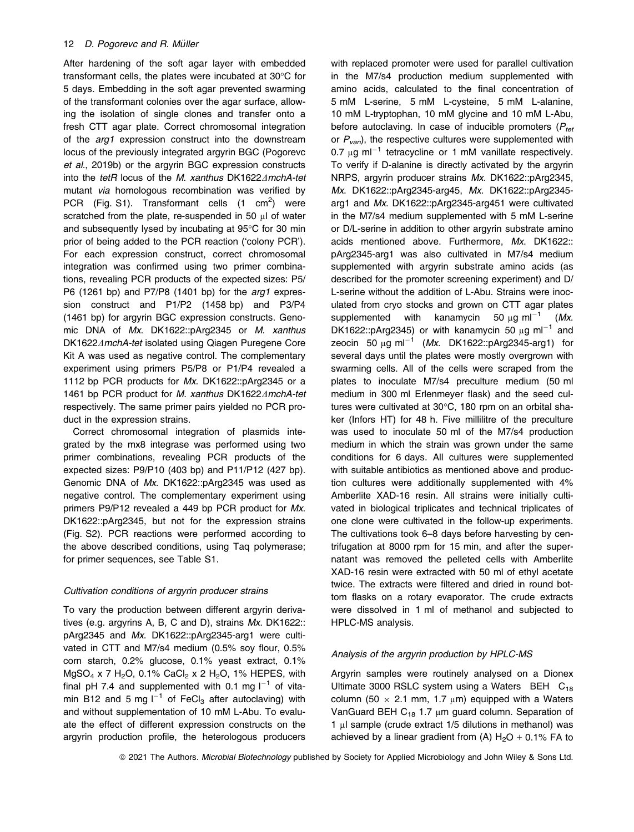After hardening of the soft agar layer with embedded transformant cells, the plates were incubated at 30°C for 5 days. Embedding in the soft agar prevented swarming of the transformant colonies over the agar surface, allowing the isolation of single clones and transfer onto a fresh CTT agar plate. Correct chromosomal integration of the arg1 expression construct into the downstream locus of the previously integrated argyrin BGC (Pogorevc et al., 2019b) or the argyrin BGC expression constructs into the tetR locus of the M. xanthus DK1622 AmchA-tet mutant via homologous recombination was verified by PCR (Fig. S1). Transformant cells  $(1 \text{ cm}^2)$  were scratched from the plate, re-suspended in 50 µl of water and subsequently lysed by incubating at 95°C for 30 min prior of being added to the PCR reaction ('colony PCR'). For each expression construct, correct chromosomal integration was confirmed using two primer combinations, revealing PCR products of the expected sizes: P5/ P6 (1261 bp) and P7/P8 (1401 bp) for the arg1 expression construct and P1/P2 (1458 bp) and P3/P4 (1461 bp) for argyrin BGC expression constructs. Genomic DNA of Mx. DK1622::pArg2345 or M. xanthus DK1622AmchA-tet isolated using Qiagen Puregene Core Kit A was used as negative control. The complementary experiment using primers P5/P8 or P1/P4 revealed a 1112 bp PCR products for Mx. DK1622::pArg2345 or a 1461 bp PCR product for M. xanthus DK1622 $\triangle$ mchA-tet respectively. The same primer pairs yielded no PCR product in the expression strains.

Correct chromosomal integration of plasmids integrated by the mx8 integrase was performed using two primer combinations, revealing PCR products of the expected sizes: P9/P10 (403 bp) and P11/P12 (427 bp). Genomic DNA of Mx. DK1622::pArg2345 was used as negative control. The complementary experiment using primers P9/P12 revealed a 449 bp PCR product for Mx. DK1622::pArg2345, but not for the expression strains (Fig. S2). PCR reactions were performed according to the above described conditions, using Taq polymerase; for primer sequences, see Table S1.

# Cultivation conditions of argyrin producer strains

To vary the production between different argyrin derivatives (e.g. argyrins A, B, C and D), strains Mx. DK1622:: pArg2345 and Mx. DK1622::pArg2345-arg1 were cultivated in CTT and M7/s4 medium (0.5% soy flour, 0.5% corn starch, 0.2% glucose, 0.1% yeast extract, 0.1%  $MqSO<sub>4</sub>$  x 7 H<sub>2</sub>O, 0.1% CaCl<sub>2</sub> x 2 H<sub>2</sub>O, 1% HEPES, with final pH 7.4 and supplemented with 0.1 mg  $I^{-1}$  of vitamin B12 and 5 mg  $I^{-1}$  of FeCl<sub>3</sub> after autoclaving) with and without supplementation of 10 mM L-Abu. To evaluate the effect of different expression constructs on the argyrin production profile, the heterologous producers

with replaced promoter were used for parallel cultivation in the M7/s4 production medium supplemented with amino acids, calculated to the final concentration of 5 mM L-serine, 5 mM L-cysteine, 5 mM L-alanine, 10 mM L-tryptophan, 10 mM glycine and 10 mM L-Abu, before autoclaving. In case of inducible promoters ( $P_{tot}$ ) or  $P_{van}$ ), the respective cultures were supplemented with 0.7  $\mu$ g ml<sup>-1</sup> tetracycline or 1 mM vanillate respectively. To verify if D-alanine is directly activated by the argyrin NRPS, argyrin producer strains Mx. DK1622::pArg2345, Mx. DK1622::pArg2345-arg45, Mx. DK1622::pArg2345 arg1 and Mx. DK1622::pArg2345-arg451 were cultivated in the M7/s4 medium supplemented with 5 mM L-serine or D/L-serine in addition to other argyrin substrate amino acids mentioned above. Furthermore, Mx. DK1622:: pArg2345-arg1 was also cultivated in M7/s4 medium supplemented with argyrin substrate amino acids (as described for the promoter screening experiment) and D/ L-serine without the addition of L-Abu. Strains were inoculated from cryo stocks and grown on CTT agar plates supplemented with kanamycin 50  $\mu$ g ml<sup>-1</sup> (Mx. DK1622::pArg2345) or with kanamycin 50  $\mu$ g ml<sup>-1</sup> and zeocin 50  $\mu$ g ml<sup>-1</sup> (Mx. DK1622::pArg2345-arg1) for several days until the plates were mostly overgrown with swarming cells. All of the cells were scraped from the plates to inoculate M7/s4 preculture medium (50 ml medium in 300 ml Erlenmeyer flask) and the seed cultures were cultivated at 30°C, 180 rpm on an orbital shaker (Infors HT) for 48 h. Five millilitre of the preculture was used to inoculate 50 ml of the M7/s4 production medium in which the strain was grown under the same conditions for 6 days. All cultures were supplemented with suitable antibiotics as mentioned above and production cultures were additionally supplemented with 4% Amberlite XAD-16 resin. All strains were initially cultivated in biological triplicates and technical triplicates of one clone were cultivated in the follow-up experiments. The cultivations took 6–8 days before harvesting by centrifugation at 8000 rpm for 15 min, and after the supernatant was removed the pelleted cells with Amberlite XAD-16 resin were extracted with 50 ml of ethyl acetate twice. The extracts were filtered and dried in round bottom flasks on a rotary evaporator. The crude extracts were dissolved in 1 ml of methanol and subjected to HPLC-MS analysis.

# Analysis of the argyrin production by HPLC-MS

Argyrin samples were routinely analysed on a Dionex Ultimate 3000 RSLC system using a Waters BEH  $C_{18}$ column (50  $\times$  2.1 mm, 1.7 µm) equipped with a Waters VanGuard BEH  $C_{18}$  1.7 µm guard column. Separation of 1 µl sample (crude extract 1/5 dilutions in methanol) was achieved by a linear gradient from (A)  $H_2O + 0.1\%$  FA to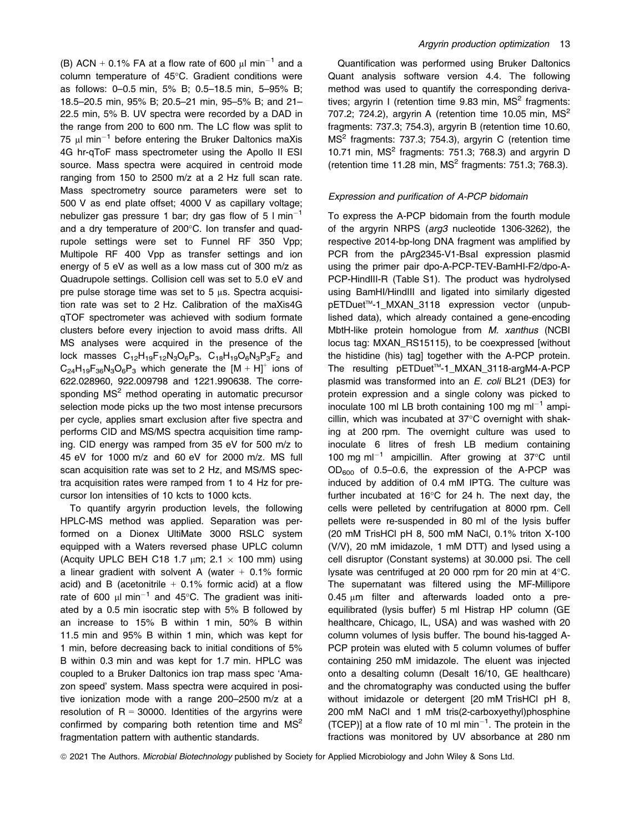(B) ACN + 0.1% FA at a flow rate of 600  $\mu$ l min<sup>-1</sup> and a column temperature of 45°C. Gradient conditions were as follows: 0–0.5 min, 5% B; 0.5–18.5 min, 5–95% B; 18.5–20.5 min, 95% B; 20.5–21 min, 95–5% B; and 21– 22.5 min, 5% B. UV spectra were recorded by a DAD in the range from 200 to 600 nm. The LC flow was split to 75  $\mu$ I min<sup>-1</sup> before entering the Bruker Daltonics maXis 4G hr-qToF mass spectrometer using the Apollo II ESI source. Mass spectra were acquired in centroid mode ranging from 150 to 2500 m/z at a 2 Hz full scan rate. Mass spectrometry source parameters were set to 500 V as end plate offset; 4000 V as capillary voltage; nebulizer gas pressure 1 bar; dry gas flow of 5  $\text{I min}^{-1}$ and a dry temperature of 200°C. Ion transfer and quadrupole settings were set to Funnel RF 350 Vpp; Multipole RF 400 Vpp as transfer settings and ion energy of 5 eV as well as a low mass cut of 300 m/z as Quadrupole settings. Collision cell was set to 5.0 eV and pre pulse storage time was set to 5 µs. Spectra acquisition rate was set to 2 Hz. Calibration of the maXis4G qTOF spectrometer was achieved with sodium formate clusters before every injection to avoid mass drifts. All MS analyses were acquired in the presence of the lock masses  $C_{12}H_{19}F_{12}N_3O_6P_3$ ,  $C_{18}H_{19}O_6N_3P_3F_2$  and  $C_{24}H_{19}F_{36}N_3O_6P_3$  which generate the  $[M + H]$ <sup>+</sup> ions of 622.028960, 922.009798 and 1221.990638. The corresponding MS<sup>2</sup> method operating in automatic precursor selection mode picks up the two most intense precursors per cycle, applies smart exclusion after five spectra and performs CID and MS/MS spectra acquisition time ramping. CID energy was ramped from 35 eV for 500 m/z to 45 eV for 1000 m/z and 60 eV for 2000 m/z. MS full scan acquisition rate was set to 2 Hz, and MS/MS spectra acquisition rates were ramped from 1 to 4 Hz for precursor Ion intensities of 10 kcts to 1000 kcts.

To quantify argyrin production levels, the following HPLC-MS method was applied. Separation was performed on a Dionex UltiMate 3000 RSLC system equipped with a Waters reversed phase UPLC column (Acquity UPLC BEH C18 1.7  $\mu$ m; 2.1  $\times$  100 mm) using a linear gradient with solvent A (water  $+$  0.1% formic acid) and B (acetonitrile  $+$  0.1% formic acid) at a flow rate of 600  $\mu$ l min<sup>-1</sup> and 45°C. The gradient was initiated by a 0.5 min isocratic step with 5% B followed by an increase to 15% B within 1 min, 50% B within 11.5 min and 95% B within 1 min, which was kept for 1 min, before decreasing back to initial conditions of 5% B within 0.3 min and was kept for 1.7 min. HPLC was coupled to a Bruker Daltonics ion trap mass spec 'Amazon speed' system. Mass spectra were acquired in positive ionization mode with a range 200–2500 m/z at a resolution of  $R = 30000$ . Identities of the argyrins were confirmed by comparing both retention time and  $MS<sup>2</sup>$ fragmentation pattern with authentic standards.

Quantification was performed using Bruker Daltonics Quant analysis software version 4.4. The following method was used to quantify the corresponding derivatives; argyrin I (retention time  $9.83$  min,  $MS<sup>2</sup>$  fragments: 707.2; 724.2), argyrin A (retention time 10.05 min,  $MS<sup>2</sup>$ fragments: 737.3; 754.3), argyrin B (retention time 10.60, MS<sup>2</sup> fragments: 737.3; 754.3), argyrin C (retention time 10.71 min,  $MS<sup>2</sup>$  fragments: 751.3; 768.3) and argyrin D (retention time 11.28 min,  $MS<sup>2</sup>$  fragments: 751.3; 768.3).

### Expression and purification of A-PCP bidomain

To express the A-PCP bidomain from the fourth module of the argyrin NRPS (arg3 nucleotide 1306-3262), the respective 2014-bp-long DNA fragment was amplified by PCR from the pArg2345-V1-Bsal expression plasmid using the primer pair dpo-A-PCP-TEV-BamHI-F2/dpo-A-PCP-HindIII-R (Table S1). The product was hydrolysed using BamHI/HindIII and ligated into similarly digested pETDuet<sup>™</sup>-1\_MXAN\_3118 expression vector (unpublished data), which already contained a gene-encoding MbtH-like protein homologue from M. xanthus (NCBI locus tag: MXAN\_RS15115), to be coexpressed [without the histidine (his) tag] together with the A-PCP protein. The resulting pETDuet<sup>™-1</sup>\_MXAN\_3118-argM4-A-PCP plasmid was transformed into an E. coli BL21 (DE3) for protein expression and a single colony was picked to inoculate 100 ml LB broth containing 100 mg ml<sup>-1</sup> ampicillin, which was incubated at 37°C overnight with shaking at 200 rpm. The overnight culture was used to inoculate 6 litres of fresh LB medium containing 100 mg m $I^{-1}$  ampicillin. After growing at 37 $^{\circ}$ C until  $OD_{600}$  of 0.5–0.6, the expression of the A-PCP was induced by addition of 0.4 mM IPTG. The culture was further incubated at 16°C for 24 h. The next day, the cells were pelleted by centrifugation at 8000 rpm. Cell pellets were re-suspended in 80 ml of the lysis buffer (20 mM TrisHCl pH 8, 500 mM NaCl, 0.1% triton X-100 (V/V), 20 mM imidazole, 1 mM DTT) and lysed using a cell disruptor (Constant systems) at 30.000 psi. The cell lysate was centrifuged at 20 000 rpm for 20 min at 4°C. The supernatant was filtered using the MF-Millipore 0.45 µm filter and afterwards loaded onto a preequilibrated (lysis buffer) 5 ml Histrap HP column (GE healthcare, Chicago, IL, USA) and was washed with 20 column volumes of lysis buffer. The bound his-tagged A-PCP protein was eluted with 5 column volumes of buffer containing 250 mM imidazole. The eluent was injected onto a desalting column (Desalt 16/10, GE healthcare) and the chromatography was conducted using the buffer without imidazole or detergent [20 mM TrisHCl pH 8, 200 mM NaCl and 1 mM tris(2-carboxyethyl)phosphine (TCEP)] at a flow rate of 10 ml min<sup>-1</sup>. The protein in the fractions was monitored by UV absorbance at 280 nm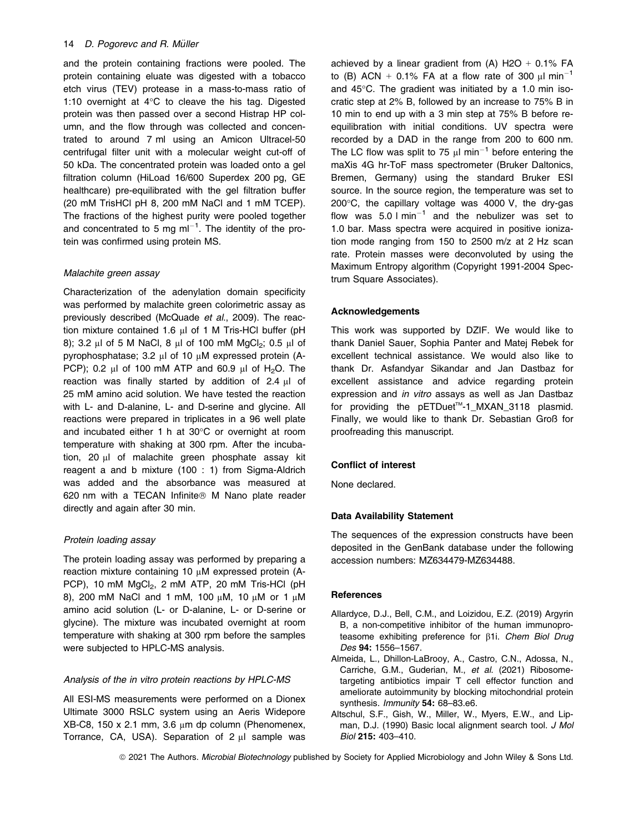and the protein containing fractions were pooled. The protein containing eluate was digested with a tobacco etch virus (TEV) protease in a mass-to-mass ratio of 1:10 overnight at 4°C to cleave the his tag. Digested protein was then passed over a second Histrap HP column, and the flow through was collected and concentrated to around 7 ml using an Amicon Ultracel-50 centrifugal filter unit with a molecular weight cut-off of 50 kDa. The concentrated protein was loaded onto a gel filtration column (HiLoad 16/600 Superdex 200 pg, GE healthcare) pre-equilibrated with the gel filtration buffer (20 mM TrisHCl pH 8, 200 mM NaCl and 1 mM TCEP). The fractions of the highest purity were pooled together and concentrated to 5 mg m $1^{-1}$ . The identity of the protein was confirmed using protein MS.

#### Malachite green assay

Characterization of the adenylation domain specificity was performed by malachite green colorimetric assay as previously described (McQuade et al., 2009). The reaction mixture contained 1.6 µl of 1 M Tris-HCl buffer (pH 8); 3.2 µl of 5 M NaCl, 8 µl of 100 mM MgCl<sub>2</sub>; 0.5 µl of pyrophosphatase; 3.2 µl of 10 µM expressed protein (A-PCP); 0.2  $\mu$ l of 100 mM ATP and 60.9  $\mu$ l of H<sub>2</sub>O. The reaction was finally started by addition of 2.4 µl of 25 mM amino acid solution. We have tested the reaction with L- and D-alanine, L- and D-serine and glycine. All reactions were prepared in triplicates in a 96 well plate and incubated either 1 h at 30°C or overnight at room temperature with shaking at 300 rpm. After the incubation, 20 µl of malachite green phosphate assay kit reagent a and b mixture (100 : 1) from Sigma-Aldrich was added and the absorbance was measured at 620 nm with a TECAN Infinite® M Nano plate reader directly and again after 30 min.

# Protein loading assay

The protein loading assay was performed by preparing a reaction mixture containing 10 µM expressed protein (A-PCP), 10 mM  $MgCl<sub>2</sub>$ , 2 mM ATP, 20 mM Tris-HCl (pH 8), 200 mM NaCl and 1 mM, 100 µM, 10 µM or 1 µM amino acid solution (L- or D-alanine, L- or D-serine or glycine). The mixture was incubated overnight at room temperature with shaking at 300 rpm before the samples were subjected to HPLC-MS analysis.

#### Analysis of the in vitro protein reactions by HPLC-MS

All ESI-MS measurements were performed on a Dionex Ultimate 3000 RSLC system using an Aeris Widepore XB-C8, 150 x 2.1 mm, 3.6 µm dp column (Phenomenex, Torrance, CA, USA). Separation of 2 µl sample was

achieved by a linear gradient from  $(A)$  H2O + 0.1% FA to (B) ACN + 0.1% FA at a flow rate of 300  $\mu$ l min<sup>-1</sup> and 45°C. The gradient was initiated by a 1.0 min isocratic step at 2% B, followed by an increase to 75% B in 10 min to end up with a 3 min step at 75% B before reequilibration with initial conditions. UV spectra were recorded by a DAD in the range from 200 to 600 nm. The LC flow was split to 75  $\mu$ I min<sup>-1</sup> before entering the maXis 4G hr-ToF mass spectrometer (Bruker Daltonics, Bremen, Germany) using the standard Bruker ESI source. In the source region, the temperature was set to 200°C, the capillary voltage was 4000 V, the dry-gas flow was  $5.0 \text{ N}$  min<sup>-1</sup> and the nebulizer was set to 1.0 bar. Mass spectra were acquired in positive ionization mode ranging from 150 to 2500 m/z at 2 Hz scan rate. Protein masses were deconvoluted by using the Maximum Entropy algorithm (Copyright 1991-2004 Spectrum Square Associates).

# Acknowledgements

This work was supported by DZIF. We would like to thank Daniel Sauer, Sophia Panter and Matej Rebek for excellent technical assistance. We would also like to thank Dr. Asfandyar Sikandar and Jan Dastbaz for excellent assistance and advice regarding protein expression and in vitro assays as well as Jan Dastbaz for providing the pETDuet<sup>™-1</sup> MXAN 3118 plasmid. Finally, we would like to thank Dr. Sebastian Groß for proofreading this manuscript.

# Conflict of interest

None declared.

# Data Availability Statement

The sequences of the expression constructs have been deposited in the GenBank database under the following accession numbers: MZ634479-MZ634488.

#### **References**

- Allardyce, D.J., Bell, C.M., and Loizidou, E.Z. (2019) Argyrin B, a non-competitive inhibitor of the human immunoproteasome exhibiting preference for  $\beta$ 1i. Chem Biol Drug Des 94: 1556–1567.
- Almeida, L., Dhillon-LaBrooy, A., Castro, C.N., Adossa, N., Carriche, G.M., Guderian, M., et al. (2021) Ribosometargeting antibiotics impair T cell effector function and ameliorate autoimmunity by blocking mitochondrial protein synthesis. Immunity 54: 68–83.e6.
- Altschul, S.F., Gish, W., Miller, W., Myers, E.W., and Lipman, D.J. (1990) Basic local alignment search tool. J Mol Biol 215: 403–410.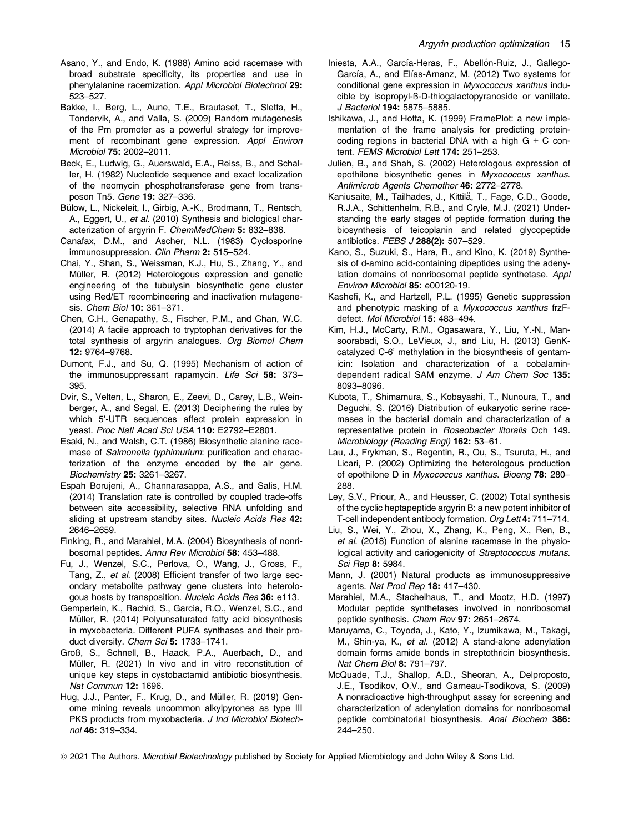- Asano, Y., and Endo, K. (1988) Amino acid racemase with broad substrate specificity, its properties and use in phenylalanine racemization. Appl Microbiol Biotechnol 29: 523–527.
- Bakke, I., Berg, L., Aune, T.E., Brautaset, T., Sletta, H., Tondervik, A., and Valla, S. (2009) Random mutagenesis of the Pm promoter as a powerful strategy for improvement of recombinant gene expression. Appl Environ Microbiol 75: 2002–2011.
- Beck, E., Ludwig, G., Auerswald, E.A., Reiss, B., and Schaller, H. (1982) Nucleotide sequence and exact localization of the neomycin phosphotransferase gene from transposon Tn5. Gene 19: 327–336.
- Bülow, L., Nickeleit, I., Girbig, A.-K., Brodmann, T., Rentsch, A., Eggert, U., et al. (2010) Synthesis and biological characterization of argyrin F. ChemMedChem 5: 832–836.
- Canafax, D.M., and Ascher, N.L. (1983) Cyclosporine immunosuppression. Clin Pharm 2: 515-524.
- Chai, Y., Shan, S., Weissman, K.J., Hu, S., Zhang, Y., and Müller, R. (2012) Heterologous expression and genetic engineering of the tubulysin biosynthetic gene cluster using Red/ET recombineering and inactivation mutagenesis. Chem Biol 10: 361–371.
- Chen, C.H., Genapathy, S., Fischer, P.M., and Chan, W.C. (2014) A facile approach to tryptophan derivatives for the total synthesis of argyrin analogues. Org Biomol Chem 12: 9764–9768.
- Dumont, F.J., and Su, Q. (1995) Mechanism of action of the immunosuppressant rapamycin. Life Sci 58: 373-395.
- Dvir, S., Velten, L., Sharon, E., Zeevi, D., Carey, L.B., Weinberger, A., and Segal, E. (2013) Deciphering the rules by which 5'-UTR sequences affect protein expression in yeast. Proc Natl Acad Sci USA 110: E2792–E2801.
- Esaki, N., and Walsh, C.T. (1986) Biosynthetic alanine racemase of Salmonella typhimurium: purification and characterization of the enzyme encoded by the alr gene. Biochemistry 25: 3261–3267.
- Espah Borujeni, A., Channarasappa, A.S., and Salis, H.M. (2014) Translation rate is controlled by coupled trade-offs between site accessibility, selective RNA unfolding and sliding at upstream standby sites. Nucleic Acids Res 42: 2646–2659.
- Finking, R., and Marahiel, M.A. (2004) Biosynthesis of nonribosomal peptides. Annu Rev Microbiol 58: 453–488.
- Fu, J., Wenzel, S.C., Perlova, O., Wang, J., Gross, F., Tang, Z., et al. (2008) Efficient transfer of two large secondary metabolite pathway gene clusters into heterologous hosts by transposition. Nucleic Acids Res 36: e113.
- Gemperlein, K., Rachid, S., Garcia, R.O., Wenzel, S.C., and Müller, R. (2014) Polyunsaturated fatty acid biosynthesis in myxobacteria. Different PUFA synthases and their product diversity. Chem Sci 5: 1733-1741.
- Groß, S., Schnell, B., Haack, P.A., Auerbach, D., and Müller, R. (2021) In vivo and in vitro reconstitution of unique key steps in cystobactamid antibiotic biosynthesis. Nat Commun 12: 1696.
- Hug, J.J., Panter, F., Krug, D., and Müller, R. (2019) Genome mining reveals uncommon alkylpyrones as type III PKS products from myxobacteria. J Ind Microbiol Biotechnol 46: 319–334.
- Iniesta, A.A., García-Heras, F., Abellón-Ruiz, J., Gallego-García, A., and Elías-Arnanz, M. (2012) Two systems for conditional gene expression in Myxococcus xanthus inducible by isopropyl-ß-D-thiogalactopyranoside or vanillate. J Bacteriol 194: 5875–5885.
- Ishikawa, J., and Hotta, K. (1999) FramePlot: a new implementation of the frame analysis for predicting proteincoding regions in bacterial DNA with a high  $G + C$  content. FEMS Microbiol Lett 174: 251-253.
- Julien, B., and Shah, S. (2002) Heterologous expression of epothilone biosynthetic genes in Myxococcus xanthus. Antimicrob Agents Chemother 46: 2772–2778.
- Kaniusaite, M., Tailhades, J., Kittilä, T., Fage, C.D., Goode, R.J.A., Schittenhelm, R.B., and Cryle, M.J. (2021) Understanding the early stages of peptide formation during the biosynthesis of teicoplanin and related glycopeptide antibiotics. FEBS J 288(2): 507–529.
- Kano, S., Suzuki, S., Hara, R., and Kino, K. (2019) Synthesis of d-amino acid-containing dipeptides using the adenylation domains of nonribosomal peptide synthetase. Appl Environ Microbiol 85: e00120-19.
- Kashefi, K., and Hartzell, P.L. (1995) Genetic suppression and phenotypic masking of a Myxococcus xanthus frzFdefect. Mol Microbiol 15: 483–494.
- Kim, H.J., McCarty, R.M., Ogasawara, Y., Liu, Y.-N., Mansoorabadi, S.O., LeVieux, J., and Liu, H. (2013) GenKcatalyzed C-6' methylation in the biosynthesis of gentamicin: Isolation and characterization of a cobalamindependent radical SAM enzyme. J Am Chem Soc 135: 8093–8096.
- Kubota, T., Shimamura, S., Kobayashi, T., Nunoura, T., and Deguchi, S. (2016) Distribution of eukaryotic serine racemases in the bacterial domain and characterization of a representative protein in Roseobacter litoralis Och 149. Microbiology (Reading Engl) 162: 53–61.
- Lau, J., Frykman, S., Regentin, R., Ou, S., Tsuruta, H., and Licari, P. (2002) Optimizing the heterologous production of epothilone D in Myxococcus xanthus. Bioeng 78: 280– 288.
- Ley, S.V., Priour, A., and Heusser, C. (2002) Total synthesis of the cyclic heptapeptide argyrin B: a new potent inhibitor of T-cell independent antibody formation. Org Lett 4: 711–714.
- Liu, S., Wei, Y., Zhou, X., Zhang, K., Peng, X., Ren, B., et al. (2018) Function of alanine racemase in the physiological activity and cariogenicity of Streptococcus mutans. Sci Rep 8: 5984.
- Mann, J. (2001) Natural products as immunosuppressive agents. Nat Prod Rep 18: 417–430.
- Marahiel, M.A., Stachelhaus, T., and Mootz, H.D. (1997) Modular peptide synthetases involved in nonribosomal peptide synthesis. Chem Rev 97: 2651–2674.
- Maruyama, C., Toyoda, J., Kato, Y., Izumikawa, M., Takagi, M., Shin-ya, K., et al. (2012) A stand-alone adenylation domain forms amide bonds in streptothricin biosynthesis. Nat Chem Biol 8: 791–797.
- McQuade, T.J., Shallop, A.D., Sheoran, A., Delproposto, J.E., Tsodikov, O.V., and Garneau-Tsodikova, S. (2009) A nonradioactive high-throughput assay for screening and characterization of adenylation domains for nonribosomal peptide combinatorial biosynthesis. Anal Biochem 386: 244–250.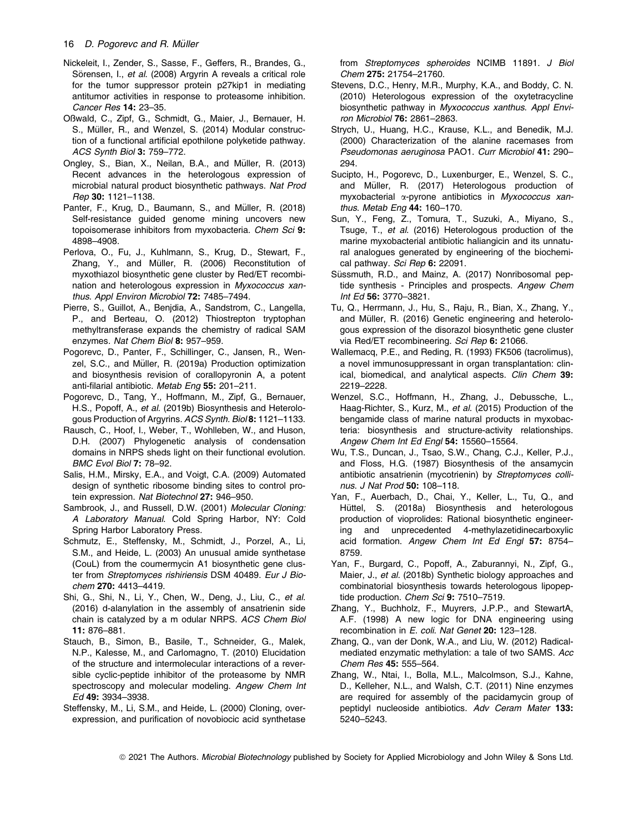- Nickeleit, I., Zender, S., Sasse, F., Geffers, R., Brandes, G., Sörensen, I., et al. (2008) Argyrin A reveals a critical role for the tumor suppressor protein p27kip1 in mediating antitumor activities in response to proteasome inhibition. Cancer Res 14: 23–35.
- Oßwald, C., Zipf, G., Schmidt, G., Maier, J., Bernauer, H. S., Müller, R., and Wenzel, S. (2014) Modular construction of a functional artificial epothilone polyketide pathway. ACS Synth Biol 3: 759–772.
- Ongley, S., Bian, X., Neilan, B.A., and Müller, R. (2013) Recent advances in the heterologous expression of microbial natural product biosynthetic pathways. Nat Prod Rep 30: 1121–1138.
- Panter, F., Krug, D., Baumann, S., and Müller, R. (2018) Self-resistance guided genome mining uncovers new topoisomerase inhibitors from myxobacteria. Chem Sci 9: 4898–4908.
- Perlova, O., Fu, J., Kuhlmann, S., Krug, D., Stewart, F., Zhang, Y., and Müller, R. (2006) Reconstitution of myxothiazol biosynthetic gene cluster by Red/ET recombination and heterologous expression in Myxococcus xanthus. Appl Environ Microbiol 72: 7485–7494.
- Pierre, S., Guillot, A., Benjdia, A., Sandstrom, C., Langella, P., and Berteau, O. (2012) Thiostrepton tryptophan methyltransferase expands the chemistry of radical SAM enzymes. Nat Chem Biol 8: 957–959.
- Pogorevc, D., Panter, F., Schillinger, C., Jansen, R., Wenzel, S.C., and Müller, R. (2019a) Production optimization and biosynthesis revision of corallopyronin A, a potent anti-filarial antibiotic. Metab Eng 55: 201–211.
- Pogorevc, D., Tang, Y., Hoffmann, M., Zipf, G., Bernauer, H.S., Popoff, A., et al. (2019b) Biosynthesis and Heterologous Production of Argyrins. ACS Synth. Biol 8: 1121–1133.
- Rausch, C., Hoof, I., Weber, T., Wohlleben, W., and Huson, D.H. (2007) Phylogenetic analysis of condensation domains in NRPS sheds light on their functional evolution. BMC Evol Biol 7: 78–92.
- Salis, H.M., Mirsky, E.A., and Voigt, C.A. (2009) Automated design of synthetic ribosome binding sites to control protein expression. Nat Biotechnol 27: 946–950.
- Sambrook, J., and Russell, D.W. (2001) Molecular Cloning: A Laboratory Manual. Cold Spring Harbor, NY: Cold Spring Harbor Laboratory Press.
- Schmutz, E., Steffensky, M., Schmidt, J., Porzel, A., Li, S.M., and Heide, L. (2003) An unusual amide synthetase (CouL) from the coumermycin A1 biosynthetic gene cluster from Streptomyces rishiriensis DSM 40489. Eur J Biochem 270: 4413–4419.
- Shi, G., Shi, N., Li, Y., Chen, W., Deng, J., Liu, C., et al. (2016) d-alanylation in the assembly of ansatrienin side chain is catalyzed by a m odular NRPS. ACS Chem Biol 11: 876–881.
- Stauch, B., Simon, B., Basile, T., Schneider, G., Malek, N.P., Kalesse, M., and Carlomagno, T. (2010) Elucidation of the structure and intermolecular interactions of a reversible cyclic-peptide inhibitor of the proteasome by NMR spectroscopy and molecular modeling. Angew Chem Int Ed 49: 3934–3938.
- Steffensky, M., Li, S.M., and Heide, L. (2000) Cloning, overexpression, and purification of novobiocic acid synthetase

from Streptomyces spheroides NCIMB 11891. J Biol Chem 275: 21754–21760.

- Stevens, D.C., Henry, M.R., Murphy, K.A., and Boddy, C. N. (2010) Heterologous expression of the oxytetracycline biosynthetic pathway in Myxococcus xanthus. Appl Environ Microbiol 76: 2861–2863.
- Strych, U., Huang, H.C., Krause, K.L., and Benedik, M.J. (2000) Characterization of the alanine racemases from Pseudomonas aeruginosa PAO1. Curr Microbiol 41: 290– 294.
- Sucipto, H., Pogorevc, D., Luxenburger, E., Wenzel, S. C., and Müller, R. (2017) Heterologous production of myxobacterial  $\alpha$ -pyrone antibiotics in Myxococcus xanthus. Metab Eng 44: 160–170.
- Sun, Y., Feng, Z., Tomura, T., Suzuki, A., Miyano, S., Tsuge, T., et al. (2016) Heterologous production of the marine myxobacterial antibiotic haliangicin and its unnatural analogues generated by engineering of the biochemical pathway. Sci Rep 6: 22091.
- Süssmuth, R.D., and Mainz, A. (2017) Nonribosomal peptide synthesis - Principles and prospects. Angew Chem Int Ed 56: 3770–3821.
- Tu, Q., Herrmann, J., Hu, S., Raju, R., Bian, X., Zhang, Y., and Müller, R. (2016) Genetic engineering and heterologous expression of the disorazol biosynthetic gene cluster via Red/ET recombineering. Sci Rep 6: 21066.
- Wallemacq, P.E., and Reding, R. (1993) FK506 (tacrolimus), a novel immunosuppressant in organ transplantation: clinical, biomedical, and analytical aspects. Clin Chem 39: 2219–2228.
- Wenzel, S.C., Hoffmann, H., Zhang, J., Debussche, L., Haag-Richter, S., Kurz, M., et al. (2015) Production of the bengamide class of marine natural products in myxobacteria: biosynthesis and structure-activity relationships. Angew Chem Int Ed Engl 54: 15560–15564.
- Wu, T.S., Duncan, J., Tsao, S.W., Chang, C.J., Keller, P.J., and Floss, H.G. (1987) Biosynthesis of the ansamycin antibiotic ansatrienin (mycotrienin) by Streptomyces collinus. J Nat Prod 50: 108–118.
- Yan, F., Auerbach, D., Chai, Y., Keller, L., Tu, Q., and Hüttel, S. (2018a) Biosynthesis and heterologous production of vioprolides: Rational biosynthetic engineering and unprecedented 4-methylazetidinecarboxylic acid formation. Angew Chem Int Ed Engl 57: 8754– 8759.
- Yan, F., Burgard, C., Popoff, A., Zaburannyi, N., Zipf, G., Maier, J., et al. (2018b) Synthetic biology approaches and combinatorial biosynthesis towards heterologous lipopeptide production. Chem Sci 9: 7510-7519.
- Zhang, Y., Buchholz, F., Muyrers, J.P.P., and StewartA, A.F. (1998) A new logic for DNA engineering using recombination in E. coli. Nat Genet 20: 123–128.
- Zhang, Q., van der Donk, W.A., and Liu, W. (2012) Radicalmediated enzymatic methylation: a tale of two SAMS. Acc Chem Res 45: 555–564.
- Zhang, W., Ntai, I., Bolla, M.L., Malcolmson, S.J., Kahne, D., Kelleher, N.L., and Walsh, C.T. (2011) Nine enzymes are required for assembly of the pacidamycin group of peptidyl nucleoside antibiotics. Adv Ceram Mater 133: 5240–5243.